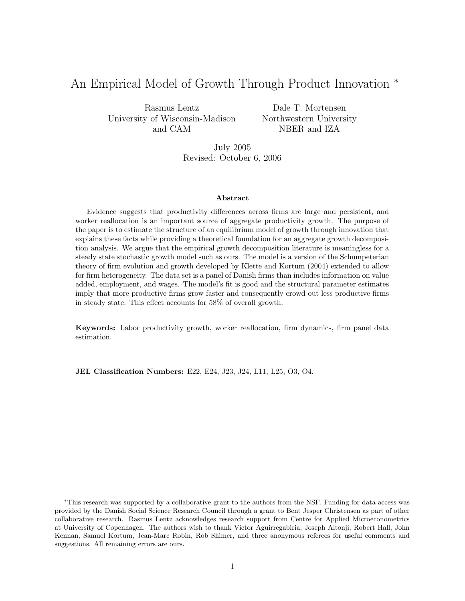# An Empirical Model of Growth Through Product Innovation <sup>∗</sup>

Rasmus Lentz University of Wisconsin-Madison and CAM

Dale T. Mortensen Northwestern University NBER and IZA

July 2005 Revised: October 6, 2006

#### Abstract

Evidence suggests that productivity differences across firms are large and persistent, and worker reallocation is an important source of aggregate productivity growth. The purpose of the paper is to estimate the structure of an equilibrium model of growth through innovation that explains these facts while providing a theoretical foundation for an aggregate growth decomposition analysis. We argue that the empirical growth decomposition literature is meaningless for a steady state stochastic growth model such as ours. The model is a version of the Schumpeterian theory of firm evolution and growth developed by Klette and Kortum (2004) extended to allow for firm heterogeneity. The data set is a panel of Danish firms than includes information on value added, employment, and wages. The model's fit is good and the structural parameter estimates imply that more productive firms grow faster and consequently crowd out less productive firms in steady state. This effect accounts for 58% of overall growth.

Keywords: Labor productivity growth, worker reallocation, firm dynamics, firm panel data estimation.

JEL Classification Numbers: E22, E24, J23, J24, L11, L25, O3, O4.

<sup>∗</sup>This research was supported by a collaborative grant to the authors from the NSF. Funding for data access was provided by the Danish Social Science Research Council through a grant to Bent Jesper Christensen as part of other collaborative research. Rasmus Lentz acknowledges research support from Centre for Applied Microeconometrics at University of Copenhagen. The authors wish to thank Victor Aguirregabiria, Joseph Altonji, Robert Hall, John Kennan, Samuel Kortum, Jean-Marc Robin, Rob Shimer, and three anonymous referees for useful comments and suggestions. All remaining errors are ours.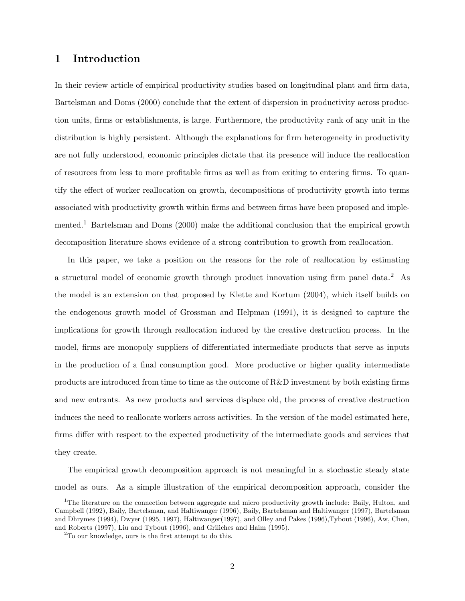## 1 Introduction

In their review article of empirical productivity studies based on longitudinal plant and firm data, Bartelsman and Doms (2000) conclude that the extent of dispersion in productivity across production units, firms or establishments, is large. Furthermore, the productivity rank of any unit in the distribution is highly persistent. Although the explanations for firm heterogeneity in productivity are not fully understood, economic principles dictate that its presence will induce the reallocation of resources from less to more profitable firms as well as from exiting to entering firms. To quantify the effect of worker reallocation on growth, decompositions of productivity growth into terms associated with productivity growth within firms and between firms have been proposed and implemented.<sup>1</sup> Bartelsman and Doms (2000) make the additional conclusion that the empirical growth decomposition literature shows evidence of a strong contribution to growth from reallocation.

In this paper, we take a position on the reasons for the role of reallocation by estimating a structural model of economic growth through product innovation using firm panel data.<sup>2</sup> As the model is an extension on that proposed by Klette and Kortum (2004), which itself builds on the endogenous growth model of Grossman and Helpman (1991), it is designed to capture the implications for growth through reallocation induced by the creative destruction process. In the model, firms are monopoly suppliers of differentiated intermediate products that serve as inputs in the production of a final consumption good. More productive or higher quality intermediate products are introduced from time to time as the outcome of R&D investment by both existing firms and new entrants. As new products and services displace old, the process of creative destruction induces the need to reallocate workers across activities. In the version of the model estimated here, firms differ with respect to the expected productivity of the intermediate goods and services that they create.

The empirical growth decomposition approach is not meaningful in a stochastic steady state model as ours. As a simple illustration of the empirical decomposition approach, consider the

<sup>&</sup>lt;sup>1</sup>The literature on the connection between aggregate and micro productivity growth include: Baily, Hulton, and Campbell (1992), Baily, Bartelsman, and Haltiwanger (1996), Baily, Bartelsman and Haltiwanger (1997), Bartelsman and Dhrymes (1994), Dwyer (1995, 1997), Haltiwanger(1997), and Olley and Pakes (1996),Tybout (1996), Aw, Chen, and Roberts (1997), Liu and Tybout (1996), and Griliches and Haim (1995).

<sup>2</sup>To our knowledge, ours is the first attempt to do this.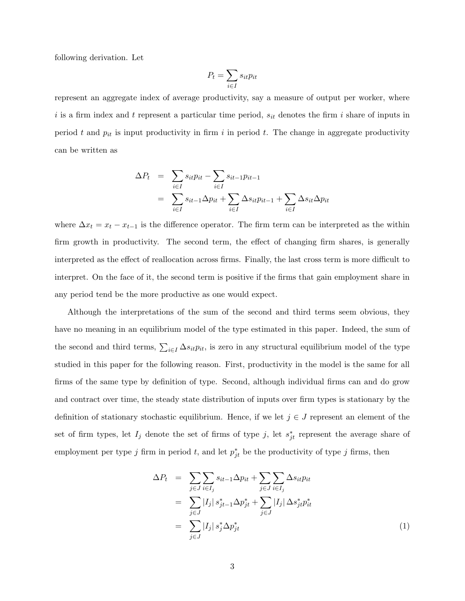following derivation. Let

$$
P_t = \sum_{i \in I} s_{it} p_{it}
$$

represent an aggregate index of average productivity, say a measure of output per worker, where i is a firm index and t represent a particular time period,  $s_{it}$  denotes the firm i share of inputs in period t and  $p_{it}$  is input productivity in firm i in period t. The change in aggregate productivity can be written as

$$
\Delta P_t = \sum_{i \in I} s_{it} p_{it} - \sum_{i \in I} s_{it-1} p_{it-1}
$$
  
= 
$$
\sum_{i \in I} s_{it-1} \Delta p_{it} + \sum_{i \in I} \Delta s_{it} p_{it-1} + \sum_{i \in I} \Delta s_{it} \Delta p_{it}
$$

where  $\Delta x_t = x_t - x_{t-1}$  is the difference operator. The firm term can be interpreted as the within firm growth in productivity. The second term, the effect of changing firm shares, is generally interpreted as the effect of reallocation across firms. Finally, the last cross term is more difficult to interpret. On the face of it, the second term is positive if the firms that gain employment share in any period tend be the more productive as one would expect.

Although the interpretations of the sum of the second and third terms seem obvious, they have no meaning in an equilibrium model of the type estimated in this paper. Indeed, the sum of the second and third terms,  $\sum_{i\in I} \Delta s_{it} p_{it}$ , is zero in any structural equilibrium model of the type studied in this paper for the following reason. First, productivity in the model is the same for all firms of the same type by definition of type. Second, although individual firms can and do grow and contract over time, the steady state distribution of inputs over firm types is stationary by the definition of stationary stochastic equilibrium. Hence, if we let  $j \in J$  represent an element of the set of firm types, let  $I_j$  denote the set of firms of type j, let  $s_{jt}^*$  represent the average share of employment per type j firm in period t, and let  $p_{jt}^*$  be the productivity of type j firms, then

$$
\Delta P_t = \sum_{j \in J} \sum_{i \in I_j} s_{it-1} \Delta p_{it} + \sum_{j \in J} \sum_{i \in I_j} \Delta s_{it} p_{it}
$$
  
\n
$$
= \sum_{j \in J} |I_j| s_{jt-1}^* \Delta p_{jt}^* + \sum_{j \in J} |I_j| \Delta s_{jt}^* p_{it}^*
$$
  
\n
$$
= \sum_{j \in J} |I_j| s_j^* \Delta p_{jt}^*
$$
\n(1)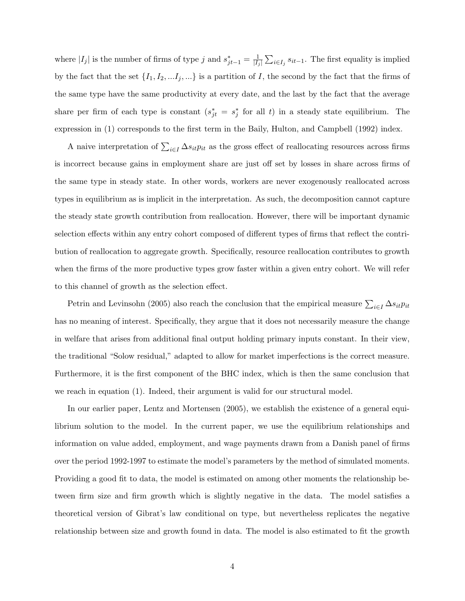where  $|I_j|$  is the number of firms of type j and  $s_{jt-1}^* = \frac{1}{|I_i|}$  $\frac{1}{|I_j|} \sum_{i \in I_j} s_{it-1}$ . The first equality is implied by the fact that the set  $\{I_1, I_2, \ldots I_j, \ldots\}$  is a partition of I, the second by the fact that the firms of the same type have the same productivity at every date, and the last by the fact that the average share per firm of each type is constant  $(s_{jt}^* = s_j^*$  for all t) in a steady state equilibrium. The expression in (1) corresponds to the first term in the Baily, Hulton, and Campbell (1992) index.

A naive interpretation of  $\sum_{i\in I} \Delta s_{it} p_{it}$  as the gross effect of reallocating resources across firms is incorrect because gains in employment share are just off set by losses in share across firms of the same type in steady state. In other words, workers are never exogenously reallocated across types in equilibrium as is implicit in the interpretation. As such, the decomposition cannot capture the steady state growth contribution from reallocation. However, there will be important dynamic selection effects within any entry cohort composed of different types of firms that reflect the contribution of reallocation to aggregate growth. Specifically, resource reallocation contributes to growth when the firms of the more productive types grow faster within a given entry cohort. We will refer to this channel of growth as the selection effect.

Petrin and Levinsohn (2005) also reach the conclusion that the empirical measure  $\sum_{i\in I} \Delta s_{it} p_{it}$ has no meaning of interest. Specifically, they argue that it does not necessarily measure the change in welfare that arises from additional final output holding primary inputs constant. In their view, the traditional "Solow residual," adapted to allow for market imperfections is the correct measure. Furthermore, it is the first component of the BHC index, which is then the same conclusion that we reach in equation (1). Indeed, their argument is valid for our structural model.

In our earlier paper, Lentz and Mortensen (2005), we establish the existence of a general equilibrium solution to the model. In the current paper, we use the equilibrium relationships and information on value added, employment, and wage payments drawn from a Danish panel of firms over the period 1992-1997 to estimate the model's parameters by the method of simulated moments. Providing a good fit to data, the model is estimated on among other moments the relationship between firm size and firm growth which is slightly negative in the data. The model satisfies a theoretical version of Gibrat's law conditional on type, but nevertheless replicates the negative relationship between size and growth found in data. The model is also estimated to fit the growth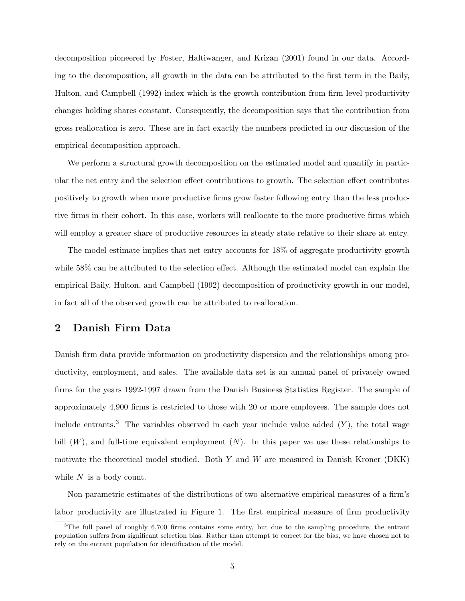decomposition pioneered by Foster, Haltiwanger, and Krizan (2001) found in our data. According to the decomposition, all growth in the data can be attributed to the first term in the Baily, Hulton, and Campbell (1992) index which is the growth contribution from firm level productivity changes holding shares constant. Consequently, the decomposition says that the contribution from gross reallocation is zero. These are in fact exactly the numbers predicted in our discussion of the empirical decomposition approach.

We perform a structural growth decomposition on the estimated model and quantify in particular the net entry and the selection effect contributions to growth. The selection effect contributes positively to growth when more productive firms grow faster following entry than the less productive firms in their cohort. In this case, workers will reallocate to the more productive firms which will employ a greater share of productive resources in steady state relative to their share at entry.

The model estimate implies that net entry accounts for 18% of aggregate productivity growth while 58% can be attributed to the selection effect. Although the estimated model can explain the empirical Baily, Hulton, and Campbell (1992) decomposition of productivity growth in our model, in fact all of the observed growth can be attributed to reallocation.

## 2 Danish Firm Data

Danish firm data provide information on productivity dispersion and the relationships among productivity, employment, and sales. The available data set is an annual panel of privately owned firms for the years 1992-1997 drawn from the Danish Business Statistics Register. The sample of approximately 4,900 firms is restricted to those with 20 or more employees. The sample does not include entrants.<sup>3</sup> The variables observed in each year include value added  $(Y)$ , the total wage bill  $(W)$ , and full-time equivalent employment  $(N)$ . In this paper we use these relationships to motivate the theoretical model studied. Both  $Y$  and  $W$  are measured in Danish Kroner (DKK) while  $N$  is a body count.

Non-parametric estimates of the distributions of two alternative empirical measures of a firm's labor productivity are illustrated in Figure 1. The first empirical measure of firm productivity

<sup>&</sup>lt;sup>3</sup>The full panel of roughly 6,700 firms contains some entry, but due to the sampling procedure, the entrant population suffers from significant selection bias. Rather than attempt to correct for the bias, we have chosen not to rely on the entrant population for identification of the model.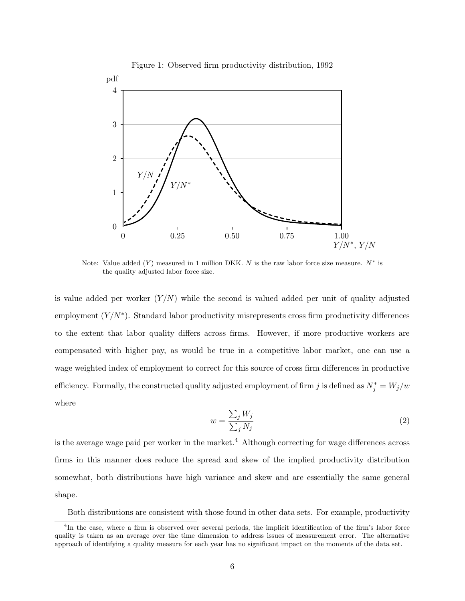

Figure 1: Observed firm productivity distribution, 1992

Note: Value added  $(Y)$  measured in 1 million DKK. N is the raw labor force size measure.  $N^*$  is the quality adjusted labor force size.

is value added per worker  $(Y/N)$  while the second is valued added per unit of quality adjusted employment  $(Y/N^*)$ . Standard labor productivity misrepresents cross firm productivity differences to the extent that labor quality differs across firms. However, if more productive workers are compensated with higher pay, as would be true in a competitive labor market, one can use a wage weighted index of employment to correct for this source of cross firm differences in productive efficiency. Formally, the constructed quality adjusted employment of firm j is defined as  $N_j^* = W_j/w$ where

$$
w = \frac{\sum_{j} W_{j}}{\sum_{j} N_{j}}
$$
\n<sup>(2)</sup>

is the average wage paid per worker in the market.<sup>4</sup> Although correcting for wage differences across firms in this manner does reduce the spread and skew of the implied productivity distribution somewhat, both distributions have high variance and skew and are essentially the same general shape.

Both distributions are consistent with those found in other data sets. For example, productivity

<sup>&</sup>lt;sup>4</sup>In the case, where a firm is observed over several periods, the implicit identification of the firm's labor force quality is taken as an average over the time dimension to address issues of measurement error. The alternative approach of identifying a quality measure for each year has no significant impact on the moments of the data set.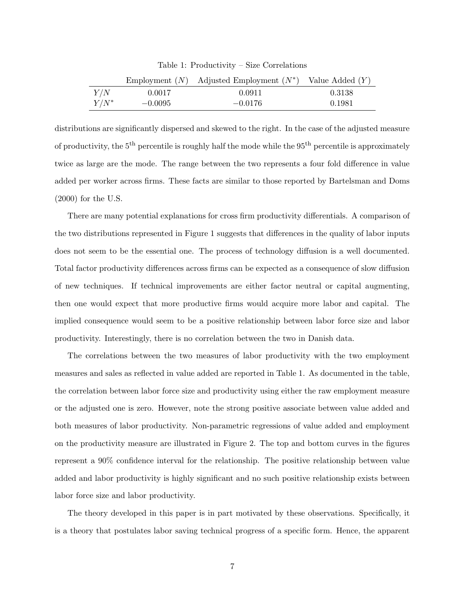|         |           | Employment $(N)$ Adjusted Employment $(N^*)$ Value Added $(Y)$ |        |
|---------|-----------|----------------------------------------------------------------|--------|
| Y/N     | 0.0017    | 0.0911                                                         | 0.3138 |
| $Y/N^*$ | $-0.0095$ | $-0.0176$                                                      | 0.1981 |

Table 1: Productivity – Size Correlations

distributions are significantly dispersed and skewed to the right. In the case of the adjusted measure of productivity, the  $5^{\text{th}}$  percentile is roughly half the mode while the  $95^{\text{th}}$  percentile is approximately twice as large are the mode. The range between the two represents a four fold difference in value added per worker across firms. These facts are similar to those reported by Bartelsman and Doms (2000) for the U.S.

There are many potential explanations for cross firm productivity differentials. A comparison of the two distributions represented in Figure 1 suggests that differences in the quality of labor inputs does not seem to be the essential one. The process of technology diffusion is a well documented. Total factor productivity differences across firms can be expected as a consequence of slow diffusion of new techniques. If technical improvements are either factor neutral or capital augmenting, then one would expect that more productive firms would acquire more labor and capital. The implied consequence would seem to be a positive relationship between labor force size and labor productivity. Interestingly, there is no correlation between the two in Danish data.

The correlations between the two measures of labor productivity with the two employment measures and sales as reflected in value added are reported in Table 1. As documented in the table, the correlation between labor force size and productivity using either the raw employment measure or the adjusted one is zero. However, note the strong positive associate between value added and both measures of labor productivity. Non-parametric regressions of value added and employment on the productivity measure are illustrated in Figure 2. The top and bottom curves in the figures represent a 90% confidence interval for the relationship. The positive relationship between value added and labor productivity is highly significant and no such positive relationship exists between labor force size and labor productivity.

The theory developed in this paper is in part motivated by these observations. Specifically, it is a theory that postulates labor saving technical progress of a specific form. Hence, the apparent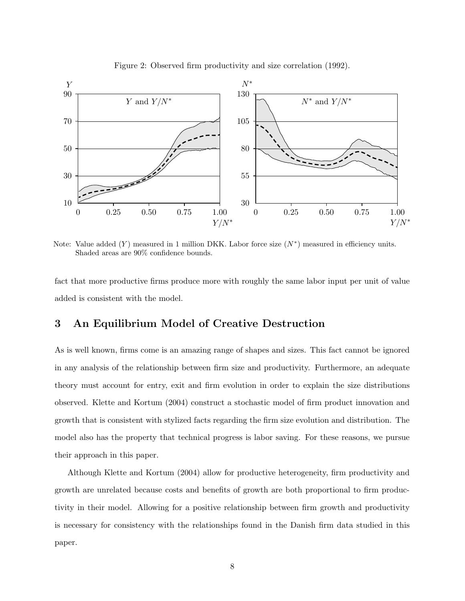

Figure 2: Observed firm productivity and size correlation (1992).

Note: Value added  $(Y)$  measured in 1 million DKK. Labor force size  $(N^*)$  measured in efficiency units. Shaded areas are 90% confidence bounds.

fact that more productive firms produce more with roughly the same labor input per unit of value added is consistent with the model.

### 3 An Equilibrium Model of Creative Destruction

As is well known, firms come is an amazing range of shapes and sizes. This fact cannot be ignored in any analysis of the relationship between firm size and productivity. Furthermore, an adequate theory must account for entry, exit and firm evolution in order to explain the size distributions observed. Klette and Kortum (2004) construct a stochastic model of firm product innovation and growth that is consistent with stylized facts regarding the firm size evolution and distribution. The model also has the property that technical progress is labor saving. For these reasons, we pursue their approach in this paper.

Although Klette and Kortum (2004) allow for productive heterogeneity, firm productivity and growth are unrelated because costs and benefits of growth are both proportional to firm productivity in their model. Allowing for a positive relationship between firm growth and productivity is necessary for consistency with the relationships found in the Danish firm data studied in this paper.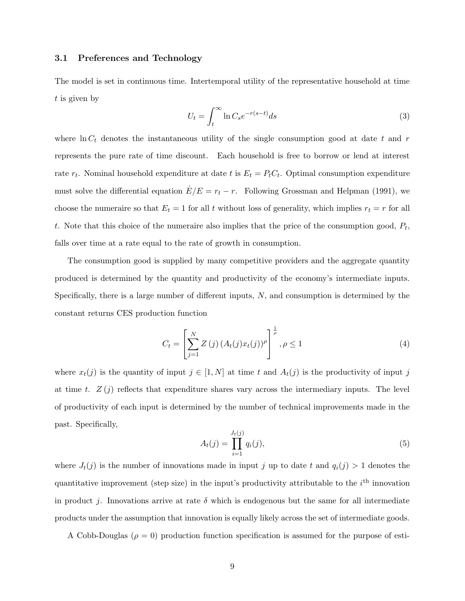#### 3.1 Preferences and Technology

The model is set in continuous time. Intertemporal utility of the representative household at time t is given by

$$
U_t = \int_t^{\infty} \ln C_s e^{-r(s-t)} ds
$$
\n(3)

where  $\ln C_t$  denotes the instantaneous utility of the single consumption good at date t and r represents the pure rate of time discount. Each household is free to borrow or lend at interest rate  $r_t$ . Nominal household expenditure at date t is  $E_t = P_t C_t$ . Optimal consumption expenditure must solve the differential equation  $E/E = r_t - r$ . Following Grossman and Helpman (1991), we choose the numeraire so that  $E_t = 1$  for all t without loss of generality, which implies  $r_t = r$  for all t. Note that this choice of the numeraire also implies that the price of the consumption good,  $P_t$ , falls over time at a rate equal to the rate of growth in consumption.

The consumption good is supplied by many competitive providers and the aggregate quantity produced is determined by the quantity and productivity of the economy's intermediate inputs. Specifically, there is a large number of different inputs, N, and consumption is determined by the constant returns CES production function

$$
C_{t} = \left[\sum_{j=1}^{N} Z\left(j\right) \left(A_{t}(j)x_{t}(j)\right)^{\rho}\right]^{\frac{1}{\rho}}, \rho \leq 1 \tag{4}
$$

where  $x_t(j)$  is the quantity of input  $j \in [1, N]$  at time t and  $A_t(j)$  is the productivity of input j at time t.  $Z(j)$  reflects that expenditure shares vary across the intermediary inputs. The level of productivity of each input is determined by the number of technical improvements made in the past. Specifically,

$$
A_t(j) = \prod_{i=1}^{J_t(j)} q_i(j),
$$
\n(5)

where  $J_t(j)$  is the number of innovations made in input j up to date t and  $q_i(j) > 1$  denotes the quantitative improvement (step size) in the input's productivity attributable to the  $i<sup>th</sup>$  innovation in product j. Innovations arrive at rate  $\delta$  which is endogenous but the same for all intermediate products under the assumption that innovation is equally likely across the set of intermediate goods.

A Cobb-Douglas ( $\rho = 0$ ) production function specification is assumed for the purpose of esti-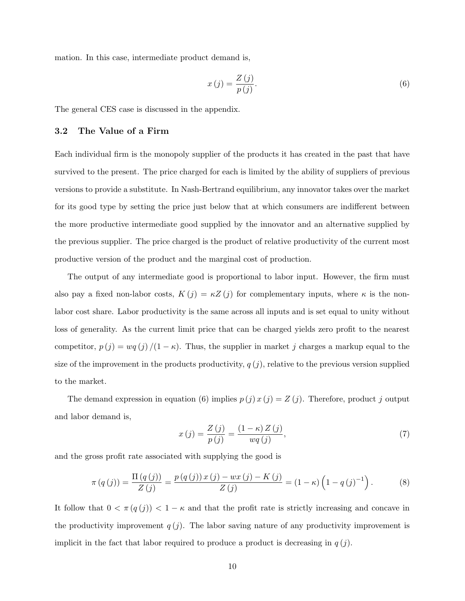mation. In this case, intermediate product demand is,

$$
x(j) = \frac{Z(j)}{p(j)}.\tag{6}
$$

The general CES case is discussed in the appendix.

#### 3.2 The Value of a Firm

Each individual firm is the monopoly supplier of the products it has created in the past that have survived to the present. The price charged for each is limited by the ability of suppliers of previous versions to provide a substitute. In Nash-Bertrand equilibrium, any innovator takes over the market for its good type by setting the price just below that at which consumers are indifferent between the more productive intermediate good supplied by the innovator and an alternative supplied by the previous supplier. The price charged is the product of relative productivity of the current most productive version of the product and the marginal cost of production.

The output of any intermediate good is proportional to labor input. However, the firm must also pay a fixed non-labor costs,  $K(j) = \kappa Z(j)$  for complementary inputs, where  $\kappa$  is the nonlabor cost share. Labor productivity is the same across all inputs and is set equal to unity without loss of generality. As the current limit price that can be charged yields zero profit to the nearest competitor,  $p(j) = wq(j)/(1 - \kappa)$ . Thus, the supplier in market j charges a markup equal to the size of the improvement in the products productivity,  $q(j)$ , relative to the previous version supplied to the market.

The demand expression in equation (6) implies  $p(j)x(j) = Z(j)$ . Therefore, product j output and labor demand is,

$$
x(j) = \frac{Z(j)}{p(j)} = \frac{(1 - \kappa)Z(j)}{wq(j)},
$$
\n<sup>(7)</sup>

and the gross profit rate associated with supplying the good is

$$
\pi(q(j)) = \frac{\Pi(q(j))}{Z(j)} = \frac{p(q(j))x(j) - wx(j) - K(j)}{Z(j)} = (1 - \kappa) \left(1 - q(j)^{-1}\right).
$$
 (8)

It follow that  $0 < \pi(q(j)) < 1 - \kappa$  and that the profit rate is strictly increasing and concave in the productivity improvement  $q(j)$ . The labor saving nature of any productivity improvement is implicit in the fact that labor required to produce a product is decreasing in  $q(j)$ .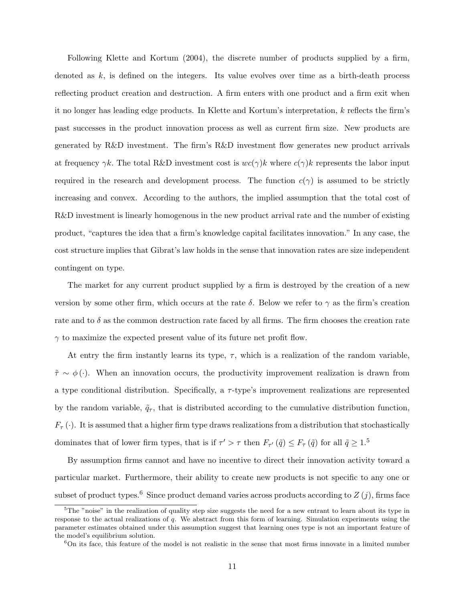Following Klette and Kortum (2004), the discrete number of products supplied by a firm, denoted as  $k$ , is defined on the integers. Its value evolves over time as a birth-death process reflecting product creation and destruction. A firm enters with one product and a firm exit when it no longer has leading edge products. In Klette and Kortum's interpretation, k reflects the firm's past successes in the product innovation process as well as current firm size. New products are generated by R&D investment. The firm's R&D investment flow generates new product arrivals at frequency  $\gamma k$ . The total R&D investment cost is  $wc(\gamma)k$  where  $c(\gamma)k$  represents the labor input required in the research and development process. The function  $c(\gamma)$  is assumed to be strictly increasing and convex. According to the authors, the implied assumption that the total cost of R&D investment is linearly homogenous in the new product arrival rate and the number of existing product, "captures the idea that a firm's knowledge capital facilitates innovation." In any case, the cost structure implies that Gibrat's law holds in the sense that innovation rates are size independent contingent on type.

The market for any current product supplied by a firm is destroyed by the creation of a new version by some other firm, which occurs at the rate  $\delta$ . Below we refer to  $\gamma$  as the firm's creation rate and to  $\delta$  as the common destruction rate faced by all firms. The firm chooses the creation rate  $\gamma$  to maximize the expected present value of its future net profit flow.

At entry the firm instantly learns its type,  $\tau$ , which is a realization of the random variable,  $\tilde{\tau} \sim \phi(\cdot)$ . When an innovation occurs, the productivity improvement realization is drawn from a type conditional distribution. Specifically, a  $\tau$ -type's improvement realizations are represented by the random variable,  $\tilde{q}_{\tau}$ , that is distributed according to the cumulative distribution function,  $F_{\tau}(\cdot)$ . It is assumed that a higher firm type draws realizations from a distribution that stochastically dominates that of lower firm types, that is if  $\tau' > \tau$  then  $F_{\tau'}(\tilde{q}) \leq F_{\tau}(\tilde{q})$  for all  $\tilde{q} \geq 1.5$ 

By assumption firms cannot and have no incentive to direct their innovation activity toward a particular market. Furthermore, their ability to create new products is not specific to any one or subset of product types.<sup>6</sup> Since product demand varies across products according to  $Z(j)$ , firms face

<sup>&</sup>lt;sup>5</sup>The "noise" in the realization of quality step size suggests the need for a new entrant to learn about its type in response to the actual realizations of q. We abstract from this form of learning. Simulation experiments using the parameter estimates obtained under this assumption suggest that learning ones type is not an important feature of the model's equilibrium solution.

<sup>6</sup>On its face, this feature of the model is not realistic in the sense that most firms innovate in a limited number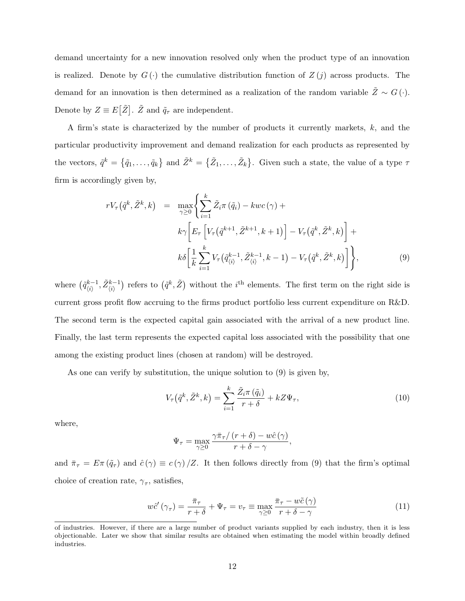demand uncertainty for a new innovation resolved only when the product type of an innovation is realized. Denote by  $G(\cdot)$  the cumulative distribution function of  $Z(j)$  across products. The demand for an innovation is then determined as a realization of the random variable  $\tilde{Z} \sim G(\cdot)$ . Denote by  $Z \equiv E[\tilde{Z}]$ .  $\tilde{Z}$  and  $\tilde{q}_{\tau}$  are independent.

A firm's state is characterized by the number of products it currently markets,  $k$ , and the particular productivity improvement and demand realization for each products as represented by the vectors,  $\tilde{q}^k = \{\tilde{q}_1, \ldots, \tilde{q}_k\}$  and  $\tilde{Z}^k = \{\tilde{Z}_1, \ldots, \tilde{Z}_k\}$ . Given such a state, the value of a type  $\tau$ firm is accordingly given by,

$$
rV_{\tau}(\tilde{q}^{k}, \tilde{Z}^{k}, k) = \max_{\gamma \ge 0} \left\{ \sum_{i=1}^{k} \tilde{Z}_{i} \pi(\tilde{q}_{i}) - kwc(\gamma) + k\gamma \left[ E_{\tau} \left[ V_{\tau}(\tilde{q}^{k+1}, \tilde{Z}^{k+1}, k+1) \right] - V_{\tau}(\tilde{q}^{k}, \tilde{Z}^{k}, k) \right] + k\delta \left[ \frac{1}{k} \sum_{i=1}^{k} V_{\tau}(\tilde{q}^{k-1}, \tilde{Z}^{k-1}_{\langle i \rangle}, k-1) - V_{\tau}(\tilde{q}^{k}, \tilde{Z}^{k}, k) \right] \right\},
$$
\n(9)

where  $(\tilde{q}_{ij}^{k-1})$  $\big(\tilde{z}_{\langle i\rangle}^{k-1}, \tilde{Z}_{\langle i\rangle}^{k-1}\big)$  refers to  $(\tilde{q}^k, \tilde{Z})$  without the  $i^{\text{th}}$  elements. The first term on the right side is current gross profit flow accruing to the firms product portfolio less current expenditure on R&D. The second term is the expected capital gain associated with the arrival of a new product line. Finally, the last term represents the expected capital loss associated with the possibility that one among the existing product lines (chosen at random) will be destroyed.

As one can verify by substitution, the unique solution to (9) is given by,

$$
V_{\tau}(\tilde{q}^k, \tilde{Z}^k, k) = \sum_{i=1}^k \frac{\tilde{Z}_i \pi(\tilde{q}_i)}{r + \delta} + k Z \Psi_{\tau}, \qquad (10)
$$

where,

$$
\Psi_{\tau} = \max_{\gamma \geq 0} \frac{\gamma \bar{\pi}_{\tau} / (r + \delta) - w\hat{c}(\gamma)}{r + \delta - \gamma},
$$

and  $\bar{\pi}_{\tau} = E \pi (\tilde{q}_{\tau})$  and  $\hat{c}(\gamma) \equiv c(\gamma)/Z$ . It then follows directly from (9) that the firm's optimal choice of creation rate,  $\gamma_{\tau}$ , satisfies,

$$
w\hat{c}'(\gamma_\tau) = \frac{\bar{\pi}_\tau}{r+\delta} + \Psi_\tau = v_\tau \equiv \max_{\gamma \ge 0} \frac{\bar{\pi}_\tau - w\tilde{c}(\gamma)}{r+\delta-\gamma}
$$
(11)

of industries. However, if there are a large number of product variants supplied by each industry, then it is less objectionable. Later we show that similar results are obtained when estimating the model within broadly defined industries.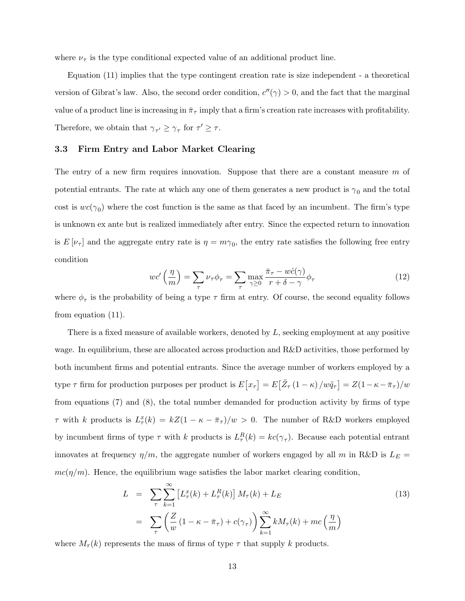where  $\nu_{\tau}$  is the type conditional expected value of an additional product line.

Equation (11) implies that the type contingent creation rate is size independent - a theoretical version of Gibrat's law. Also, the second order condition,  $c''(\gamma) > 0$ , and the fact that the marginal value of a product line is increasing in  $\bar{\pi}_{\tau}$  imply that a firm's creation rate increases with profitability. Therefore, we obtain that  $\gamma_{\tau'} \geq \gamma_{\tau}$  for  $\tau' \geq \tau$ .

### 3.3 Firm Entry and Labor Market Clearing

The entry of a new firm requires innovation. Suppose that there are a constant measure  $m$  of potential entrants. The rate at which any one of them generates a new product is  $\gamma_0$  and the total cost is  $wc(\gamma_0)$  where the cost function is the same as that faced by an incumbent. The firm's type is unknown ex ante but is realized immediately after entry. Since the expected return to innovation is  $E[\nu_{\tau}]$  and the aggregate entry rate is  $\eta = m\gamma_0$ , the entry rate satisfies the following free entry condition

$$
wc'\left(\frac{\eta}{m}\right) = \sum_{\tau} \nu_{\tau} \phi_{\tau} = \sum_{\tau} \max_{\gamma \ge 0} \frac{\bar{\pi}_{\tau} - w\hat{c}(\gamma)}{r + \delta - \gamma} \phi_{\tau}
$$
(12)

where  $\phi_{\tau}$  is the probability of being a type  $\tau$  firm at entry. Of course, the second equality follows from equation (11).

There is a fixed measure of available workers, denoted by L, seeking employment at any positive wage. In equilibrium, these are allocated across production and R&D activities, those performed by both incumbent firms and potential entrants. Since the average number of workers employed by a type  $\tau$  firm for production purposes per product is  $E[\bar{x}_{\tau}] = E[\tilde{Z}_{\tau}(1-\kappa)/w\tilde{q}_{\tau}] = Z(1-\kappa-\bar{\pi}_{\tau})/w$ from equations (7) and (8), the total number demanded for production activity by firms of type  $\tau$  with k products is  $L_{\tau}^{x}(k) = kZ(1 - \kappa - \bar{\pi}_{\tau})/w > 0$ . The number of R&D workers employed by incumbent firms of type  $\tau$  with k products is  $L_{\tau}^{R}(k) = kc(\gamma_{\tau})$ . Because each potential entrant innovates at frequency  $\eta/m$ , the aggregate number of workers engaged by all m in R&D is  $L_E$  =  $mc(\eta/m)$ . Hence, the equilibrium wage satisfies the labor market clearing condition,

$$
L = \sum_{\tau} \sum_{k=1}^{\infty} \left[ L_{\tau}^{x}(k) + L_{\tau}^{R}(k) \right] M_{\tau}(k) + L_{E}
$$
  
= 
$$
\sum_{\tau} \left( \frac{Z}{w} \left( 1 - \kappa - \bar{\pi}_{\tau} \right) + c(\gamma_{\tau}) \right) \sum_{k=1}^{\infty} k M_{\tau}(k) + mc\left(\frac{\eta}{m}\right)
$$
 (13)

where  $M_{\tau}(k)$  represents the mass of firms of type  $\tau$  that supply k products.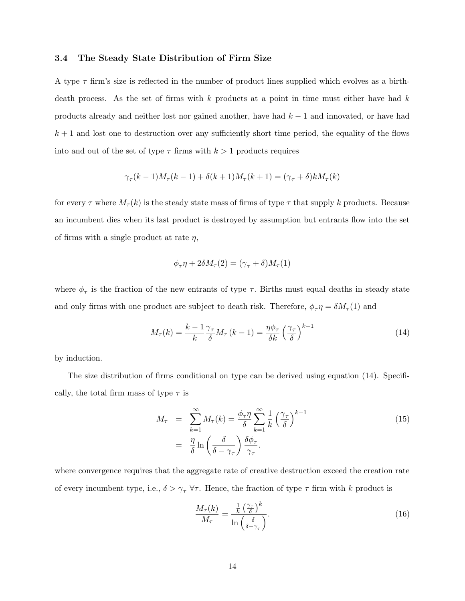#### 3.4 The Steady State Distribution of Firm Size

A type  $\tau$  firm's size is reflected in the number of product lines supplied which evolves as a birthdeath process. As the set of firms with  $k$  products at a point in time must either have had  $k$ products already and neither lost nor gained another, have had  $k-1$  and innovated, or have had  $k + 1$  and lost one to destruction over any sufficiently short time period, the equality of the flows into and out of the set of type  $\tau$  firms with  $k > 1$  products requires

$$
\gamma_\tau(k-1)M_\tau(k-1)+\delta(k+1)M_\tau(k+1)=(\gamma_\tau+\delta)kM_\tau(k)
$$

for every  $\tau$  where  $M_{\tau}(k)$  is the steady state mass of firms of type  $\tau$  that supply k products. Because an incumbent dies when its last product is destroyed by assumption but entrants flow into the set of firms with a single product at rate  $\eta$ ,

$$
\phi_{\tau}\eta + 2\delta M_{\tau}(2) = (\gamma_{\tau} + \delta)M_{\tau}(1)
$$

where  $\phi_{\tau}$  is the fraction of the new entrants of type  $\tau$ . Births must equal deaths in steady state and only firms with one product are subject to death risk. Therefore,  $\phi_{\tau} \eta = \delta M_{\tau}(1)$  and

$$
M_{\tau}(k) = \frac{k-1}{k} \frac{\gamma_{\tau}}{\delta} M_{\tau} (k-1) = \frac{\eta \phi_{\tau}}{\delta k} \left(\frac{\gamma_{\tau}}{\delta}\right)^{k-1}
$$
(14)

by induction.

The size distribution of firms conditional on type can be derived using equation (14). Specifically, the total firm mass of type  $\tau$  is

$$
M_{\tau} = \sum_{k=1}^{\infty} M_{\tau}(k) = \frac{\phi_{\tau} \eta}{\delta} \sum_{k=1}^{\infty} \frac{1}{k} \left(\frac{\gamma_{\tau}}{\delta}\right)^{k-1}
$$
  

$$
= \frac{\eta}{\delta} \ln \left(\frac{\delta}{\delta - \gamma_{\tau}}\right) \frac{\delta \phi_{\tau}}{\gamma_{\tau}}.
$$
 (15)

where convergence requires that the aggregate rate of creative destruction exceed the creation rate of every incumbent type, i.e.,  $\delta > \gamma_{\tau} \ \forall \tau$ . Hence, the fraction of type  $\tau$  firm with k product is

$$
\frac{M_{\tau}(k)}{M_{\tau}} = \frac{\frac{1}{k} \left(\frac{\gamma_{\tau}}{\delta}\right)^k}{\ln\left(\frac{\delta}{\delta - \gamma_{\tau}}\right)}.
$$
\n(16)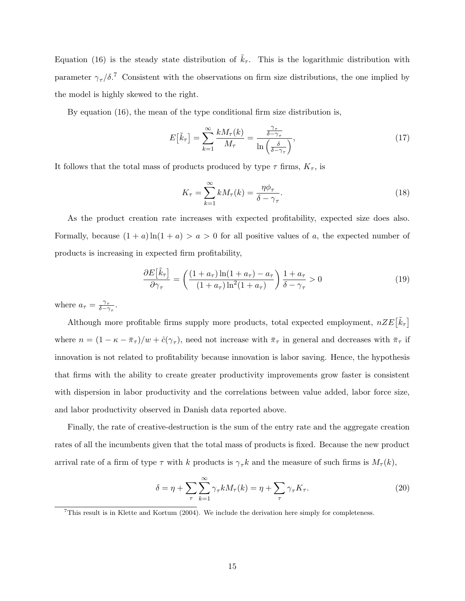Equation (16) is the steady state distribution of  $\tilde{k}_{\tau}$ . This is the logarithmic distribution with parameter  $\gamma_{\tau}/\delta$ .<sup>7</sup> Consistent with the observations on firm size distributions, the one implied by the model is highly skewed to the right.

By equation (16), the mean of the type conditional firm size distribution is,

$$
E\left[\tilde{k}_{\tau}\right] = \sum_{k=1}^{\infty} \frac{k M_{\tau}(k)}{M_{\tau}} = \frac{\frac{\gamma_{\tau}}{\delta - \gamma_{\tau}}}{\ln\left(\frac{\delta}{\delta - \gamma_{\tau}}\right)},\tag{17}
$$

It follows that the total mass of products produced by type  $\tau$  firms,  $K_{\tau}$ , is

$$
K_{\tau} = \sum_{k=1}^{\infty} k M_{\tau}(k) = \frac{\eta \phi_{\tau}}{\delta - \gamma_{\tau}}.
$$
\n(18)

As the product creation rate increases with expected profitability, expected size does also. Formally, because  $(1 + a) \ln(1 + a) > a > 0$  for all positive values of a, the expected number of products is increasing in expected firm profitability,

$$
\frac{\partial E\left[\tilde{k}_{\tau}\right]}{\partial \gamma_{\tau}} = \left(\frac{(1+a_{\tau})\ln(1+a_{\tau}) - a_{\tau}}{(1+a_{\tau})\ln^2(1+a_{\tau})}\right) \frac{1+a_{\tau}}{\delta - \gamma_{\tau}} > 0
$$
\n(19)

where  $a_{\tau} = \frac{\gamma_{\tau}}{\delta - \hat{\gamma}}$  $\frac{\gamma_{\tau}}{\delta-\gamma_{\tau}}.$ 

Although more profitable firms supply more products, total expected employment,  $nZE[\tilde{k}_\tau]$ where  $n = (1 - \kappa - \bar{\pi}_{\tau})/w + \hat{c}(\gamma_{\tau})$ , need not increase with  $\bar{\pi}_{\tau}$  in general and decreases with  $\bar{\pi}_{\tau}$  if innovation is not related to profitability because innovation is labor saving. Hence, the hypothesis that firms with the ability to create greater productivity improvements grow faster is consistent with dispersion in labor productivity and the correlations between value added, labor force size, and labor productivity observed in Danish data reported above.

Finally, the rate of creative-destruction is the sum of the entry rate and the aggregate creation rates of all the incumbents given that the total mass of products is fixed. Because the new product arrival rate of a firm of type  $\tau$  with k products is  $\gamma_{\tau} k$  and the measure of such firms is  $M_{\tau}(k)$ ,

$$
\delta = \eta + \sum_{\tau} \sum_{k=1}^{\infty} \gamma_{\tau} k M_{\tau}(k) = \eta + \sum_{\tau} \gamma_{\tau} K_{\tau}.
$$
 (20)

<sup>7</sup>This result is in Klette and Kortum (2004). We include the derivation here simply for completeness.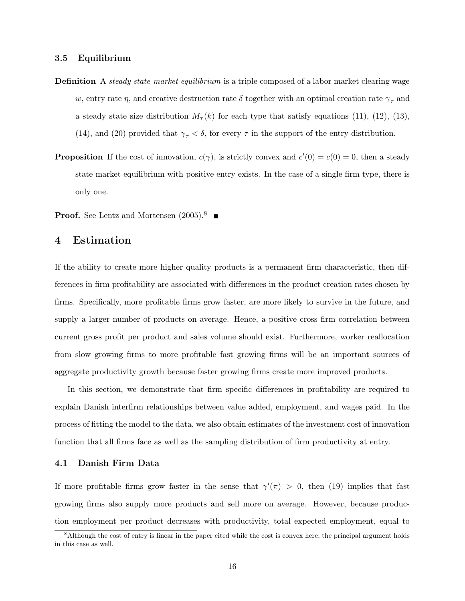#### 3.5 Equilibrium

- **Definition** A *steady state market equilibrium* is a triple composed of a labor market clearing wage w, entry rate  $\eta$ , and creative destruction rate  $\delta$  together with an optimal creation rate  $\gamma_{\tau}$  and a steady state size distribution  $M_{\tau}(k)$  for each type that satisfy equations (11), (12), (13), (14), and (20) provided that  $\gamma_{\tau} < \delta$ , for every  $\tau$  in the support of the entry distribution.
- **Proposition** If the cost of innovation,  $c(\gamma)$ , is strictly convex and  $c'(0) = c(0) = 0$ , then a steady state market equilibrium with positive entry exists. In the case of a single firm type, there is only one.

**Proof.** See Lentz and Mortensen  $(2005)^8$ 

### 4 Estimation

If the ability to create more higher quality products is a permanent firm characteristic, then differences in firm profitability are associated with differences in the product creation rates chosen by firms. Specifically, more profitable firms grow faster, are more likely to survive in the future, and supply a larger number of products on average. Hence, a positive cross firm correlation between current gross profit per product and sales volume should exist. Furthermore, worker reallocation from slow growing firms to more profitable fast growing firms will be an important sources of aggregate productivity growth because faster growing firms create more improved products.

In this section, we demonstrate that firm specific differences in profitability are required to explain Danish interfirm relationships between value added, employment, and wages paid. In the process of fitting the model to the data, we also obtain estimates of the investment cost of innovation function that all firms face as well as the sampling distribution of firm productivity at entry.

#### 4.1 Danish Firm Data

If more profitable firms grow faster in the sense that  $\gamma'(\pi) > 0$ , then (19) implies that fast growing firms also supply more products and sell more on average. However, because production employment per product decreases with productivity, total expected employment, equal to

<sup>&</sup>lt;sup>8</sup>Although the cost of entry is linear in the paper cited while the cost is convex here, the principal argument holds in this case as well.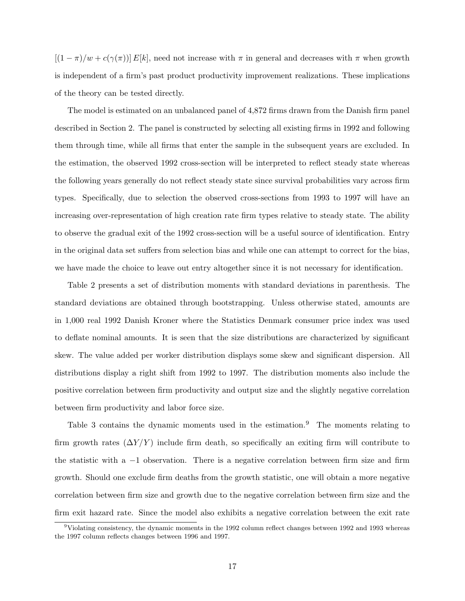$[(1 - \pi)/w + c(\gamma(\pi))] E[k]$ , need not increase with  $\pi$  in general and decreases with  $\pi$  when growth is independent of a firm's past product productivity improvement realizations. These implications of the theory can be tested directly.

The model is estimated on an unbalanced panel of 4,872 firms drawn from the Danish firm panel described in Section 2. The panel is constructed by selecting all existing firms in 1992 and following them through time, while all firms that enter the sample in the subsequent years are excluded. In the estimation, the observed 1992 cross-section will be interpreted to reflect steady state whereas the following years generally do not reflect steady state since survival probabilities vary across firm types. Specifically, due to selection the observed cross-sections from 1993 to 1997 will have an increasing over-representation of high creation rate firm types relative to steady state. The ability to observe the gradual exit of the 1992 cross-section will be a useful source of identification. Entry in the original data set suffers from selection bias and while one can attempt to correct for the bias, we have made the choice to leave out entry altogether since it is not necessary for identification.

Table 2 presents a set of distribution moments with standard deviations in parenthesis. The standard deviations are obtained through bootstrapping. Unless otherwise stated, amounts are in 1,000 real 1992 Danish Kroner where the Statistics Denmark consumer price index was used to deflate nominal amounts. It is seen that the size distributions are characterized by significant skew. The value added per worker distribution displays some skew and significant dispersion. All distributions display a right shift from 1992 to 1997. The distribution moments also include the positive correlation between firm productivity and output size and the slightly negative correlation between firm productivity and labor force size.

Table 3 contains the dynamic moments used in the estimation.<sup>9</sup> The moments relating to firm growth rates  $(\Delta Y/Y)$  include firm death, so specifically an exiting firm will contribute to the statistic with a −1 observation. There is a negative correlation between firm size and firm growth. Should one exclude firm deaths from the growth statistic, one will obtain a more negative correlation between firm size and growth due to the negative correlation between firm size and the firm exit hazard rate. Since the model also exhibits a negative correlation between the exit rate

 $9$ Violating consistency, the dynamic moments in the 1992 column reflect changes between 1992 and 1993 whereas the 1997 column reflects changes between 1996 and 1997.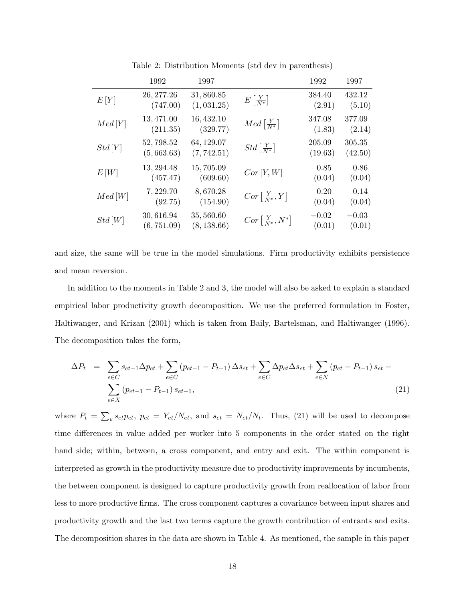|        | 1992                     | 1997                      |                                      | 1992              | 1997              |
|--------|--------------------------|---------------------------|--------------------------------------|-------------------|-------------------|
| E[Y]   | 26, 277.26<br>(747.00)   | 31,860.85<br>(1, 031.25)  | $E\left[\frac{Y}{N^*}\right]$        | 384.40<br>(2.91)  | 432.12<br>(5.10)  |
| Med[Y] | 13, 471.00<br>(211.35)   | 16, 432.10<br>(329.77)    | $Med\left[\frac{Y}{N^*}\right]$      | 347.08<br>(1.83)  | 377.09<br>(2.14)  |
| Std[Y] | 52,798.52<br>(5,663.63)  | 64, 129.07<br>(7, 742.51) | $Std\left[\frac{Y}{N^*}\right]$      | 205.09<br>(19.63) | 305.35<br>(42.50) |
| E[W]   | 13, 294.48<br>(457.47)   | 15,705.09<br>(609.60)     | $Cor\left[ Y,W\right]$               | 0.85<br>(0.04)    | 0.86<br>(0.04)    |
| Med[W] | 7,229.70<br>(92.75)      | 8,670.28<br>(154.90)      | $Cor\left[\frac{Y}{N^*},Y\right]$    | 0.20<br>(0.04)    | 0.14<br>(0.04)    |
| Std[W] | 30,616.94<br>(6, 751.09) | 35,560.60<br>(8, 138.66)  | $Cor\left[\frac{Y}{N^*}, N^*\right]$ | $-0.02$<br>(0.01) | $-0.03$<br>(0.01) |

Table 2: Distribution Moments (std dev in parenthesis)

and size, the same will be true in the model simulations. Firm productivity exhibits persistence and mean reversion.

In addition to the moments in Table 2 and 3, the model will also be asked to explain a standard empirical labor productivity growth decomposition. We use the preferred formulation in Foster, Haltiwanger, and Krizan (2001) which is taken from Baily, Bartelsman, and Haltiwanger (1996). The decomposition takes the form,

$$
\Delta P_t = \sum_{e \in C} s_{et-1} \Delta p_{et} + \sum_{e \in C} (p_{et-1} - P_{t-1}) \Delta s_{et} + \sum_{e \in C} \Delta p_{et} \Delta s_{et} + \sum_{e \in N} (p_{et} - P_{t-1}) s_{et} - \sum_{e \in X} (p_{et-1} - P_{t-1}) s_{et-1},
$$
\n(21)

where  $P_t = \sum_e s_{et} p_{et}$ ,  $p_{et} = Y_{et}/N_{et}$ , and  $s_{et} = N_{et}/N_t$ . Thus, (21) will be used to decompose time differences in value added per worker into 5 components in the order stated on the right hand side; within, between, a cross component, and entry and exit. The within component is interpreted as growth in the productivity measure due to productivity improvements by incumbents, the between component is designed to capture productivity growth from reallocation of labor from less to more productive firms. The cross component captures a covariance between input shares and productivity growth and the last two terms capture the growth contribution of entrants and exits. The decomposition shares in the data are shown in Table 4. As mentioned, the sample in this paper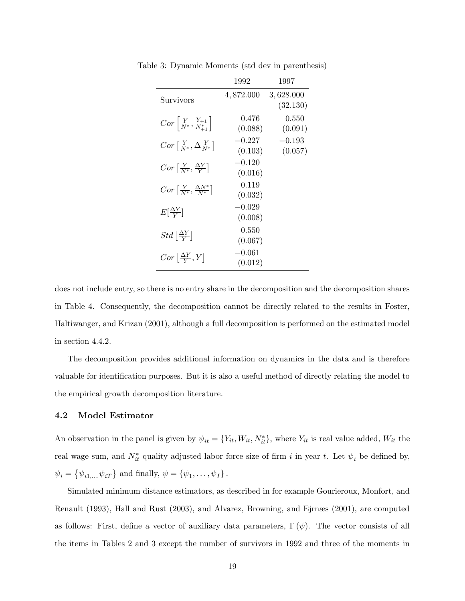|                                                          | 1992                | 1997                  |
|----------------------------------------------------------|---------------------|-----------------------|
| Survivors                                                | 4,872.000           | 3,628.000<br>(32.130) |
| $Cor\left[\frac{Y}{N^*}, \frac{Y_{+1}}{N^*_{+1}}\right]$ | 0.476<br>(0.088)    | 0.550<br>(0.091)      |
| $Cor\left[\frac{Y}{N^*},\Delta\frac{Y}{N^*}\right]$      | $-0.227$<br>(0.103) | $-0.193$<br>(0.057)   |
| $Cor\left[\frac{Y}{N^*}, \frac{\Delta Y}{V}\right]$      | $-0.120$<br>(0.016) |                       |
| $Cor\left[\frac{Y}{N^*}, \frac{\Delta N^*}{N^*}\right]$  | 0.119<br>(0.032)    |                       |
| $E[\frac{\Delta Y}{V}]$                                  | $-0.029$<br>(0.008) |                       |
| $Std\left[\frac{\Delta Y}{V}\right]$                     | 0.550<br>(0.067)    |                       |
| $Cor\left[\frac{\Delta Y}{V},Y\right]$                   | $-0.061$<br>(0.012) |                       |

Table 3: Dynamic Moments (std dev in parenthesis)

does not include entry, so there is no entry share in the decomposition and the decomposition shares in Table 4. Consequently, the decomposition cannot be directly related to the results in Foster, Haltiwanger, and Krizan (2001), although a full decomposition is performed on the estimated model in section 4.4.2.

The decomposition provides additional information on dynamics in the data and is therefore valuable for identification purposes. But it is also a useful method of directly relating the model to the empirical growth decomposition literature.

#### 4.2 Model Estimator

An observation in the panel is given by  $\psi_{it} = \{Y_{it}, W_{it}, N_{it}^*\}$ , where  $Y_{it}$  is real value added,  $W_{it}$  the real wage sum, and  $N_{it}^*$  quality adjusted labor force size of firm i in year t. Let  $\psi_i$  be defined by,  $\psi_i = \{ \psi_{i1,...,}\psi_{iT} \}$  and finally,  $\psi = \{ \psi_1, ..., \psi_I \}$ .

Simulated minimum distance estimators, as described in for example Gourieroux, Monfort, and Renault (1993), Hall and Rust (2003), and Alvarez, Browning, and Ejrnæs (2001), are computed as follows: First, define a vector of auxiliary data parameters,  $\Gamma(\psi)$ . The vector consists of all the items in Tables 2 and 3 except the number of survivors in 1992 and three of the moments in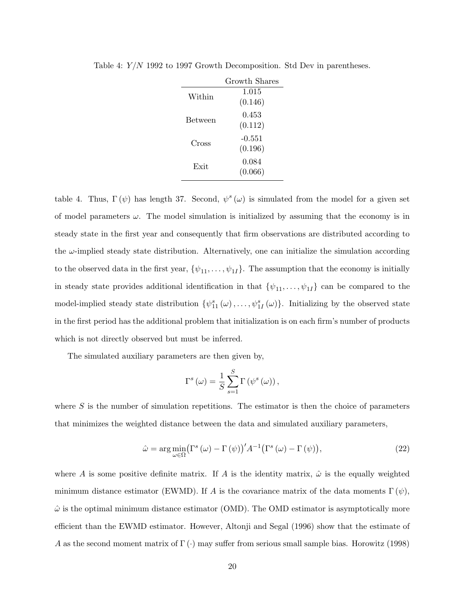|                | Growth Shares     |
|----------------|-------------------|
| Within         | 1.015<br>(0.146)  |
| <b>Between</b> | 0.453<br>(0.112)  |
| Cross          | -0.551<br>(0.196) |
| Exit           | 0.084<br>(0.066)  |

Table 4: Y/N 1992 to 1997 Growth Decomposition. Std Dev in parentheses.

table 4. Thus,  $\Gamma(\psi)$  has length 37. Second,  $\psi^s(\omega)$  is simulated from the model for a given set of model parameters  $\omega$ . The model simulation is initialized by assuming that the economy is in steady state in the first year and consequently that firm observations are distributed according to the  $\omega$ -implied steady state distribution. Alternatively, one can initialize the simulation according to the observed data in the first year,  $\{\psi_{11}, \dots, \psi_{1I}\}$ . The assumption that the economy is initially in steady state provides additional identification in that  $\{\psi_{11}, \dots, \psi_{1I}\}$  can be compared to the model-implied steady state distribution  $\{\psi_{11}^s(\omega), \ldots, \psi_{1I}^s(\omega)\}\$ . Initializing by the observed state in the first period has the additional problem that initialization is on each firm's number of products which is not directly observed but must be inferred.

The simulated auxiliary parameters are then given by,

$$
\Gamma^{s}(\omega) = \frac{1}{S} \sum_{s=1}^{S} \Gamma(\psi^{s}(\omega)),
$$

where  $S$  is the number of simulation repetitions. The estimator is then the choice of parameters that minimizes the weighted distance between the data and simulated auxiliary parameters,

$$
\hat{\omega} = \arg\min_{\omega \in \Omega} \left( \Gamma^s \left( \omega \right) - \Gamma \left( \psi \right) \right)' A^{-1} \left( \Gamma^s \left( \omega \right) - \Gamma \left( \psi \right) \right),\tag{22}
$$

where A is some positive definite matrix. If A is the identity matrix,  $\hat{\omega}$  is the equally weighted minimum distance estimator (EWMD). If A is the covariance matrix of the data moments  $\Gamma(\psi)$ ,  $\hat{\omega}$  is the optimal minimum distance estimator (OMD). The OMD estimator is asymptotically more efficient than the EWMD estimator. However, Altonji and Segal (1996) show that the estimate of A as the second moment matrix of  $\Gamma(\cdot)$  may suffer from serious small sample bias. Horowitz (1998)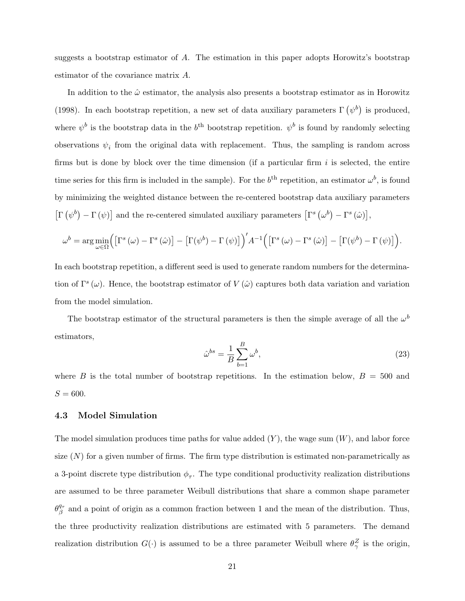suggests a bootstrap estimator of A. The estimation in this paper adopts Horowitz's bootstrap estimator of the covariance matrix A.

In addition to the  $\hat{\omega}$  estimator, the analysis also presents a bootstrap estimator as in Horowitz (1998). In each bootstrap repetition, a new set of data auxiliary parameters  $\Gamma(\psi^b)$  is produced, where  $\psi^b$  is the bootstrap data in the  $b^{\text{th}}$  bootstrap repetition.  $\psi^b$  is found by randomly selecting observations  $\psi_i$  from the original data with replacement. Thus, the sampling is random across firms but is done by block over the time dimension (if a particular firm  $i$  is selected, the entire time series for this firm is included in the sample). For the  $b<sup>th</sup>$  repetition, an estimator  $\omega^b$ , is found by minimizing the weighted distance between the re-centered bootstrap data auxiliary parameters  $\left[\Gamma(\psi^b)-\Gamma(\psi)\right]$  and the re-centered simulated auxiliary parameters  $\left[\Gamma^s(\omega^b)-\Gamma^s(\hat{\omega})\right],$ 

$$
\omega^{b} = \arg \min_{\omega \in \Omega} \Big( \left[ \Gamma^{s}(\omega) - \Gamma^{s}(\hat{\omega}) \right] - \left[ \Gamma(\psi^{b}) - \Gamma(\psi) \right] \Big) \Big/ A^{-1} \Big( \left[ \Gamma^{s}(\omega) - \Gamma^{s}(\hat{\omega}) \right] - \left[ \Gamma(\psi^{b}) - \Gamma(\psi) \right] \Big).
$$

In each bootstrap repetition, a different seed is used to generate random numbers for the determination of  $\Gamma^s(\omega)$ . Hence, the bootstrap estimator of  $V(\hat{\omega})$  captures both data variation and variation from the model simulation.

The bootstrap estimator of the structural parameters is then the simple average of all the  $\omega^b$ estimators,

$$
\hat{\omega}^{bs} = \frac{1}{B} \sum_{b=1}^{B} \omega^b,\tag{23}
$$

where B is the total number of bootstrap repetitions. In the estimation below,  $B = 500$  and  $S = 600.$ 

#### 4.3 Model Simulation

The model simulation produces time paths for value added  $(Y)$ , the wage sum  $(W)$ , and labor force size  $(N)$  for a given number of firms. The firm type distribution is estimated non-parametrically as a 3-point discrete type distribution  $\phi_{\tau}$ . The type conditional productivity realization distributions are assumed to be three parameter Weibull distributions that share a common shape parameter  $\theta^{q_\tau}_\beta$  $\frac{q_{\tau}}{\beta}$  and a point of origin as a common fraction between 1 and the mean of the distribution. Thus, the three productivity realization distributions are estimated with 5 parameters. The demand realization distribution  $G(\cdot)$  is assumed to be a three parameter Weibull where  $\theta_{\gamma}^Z$  is the origin,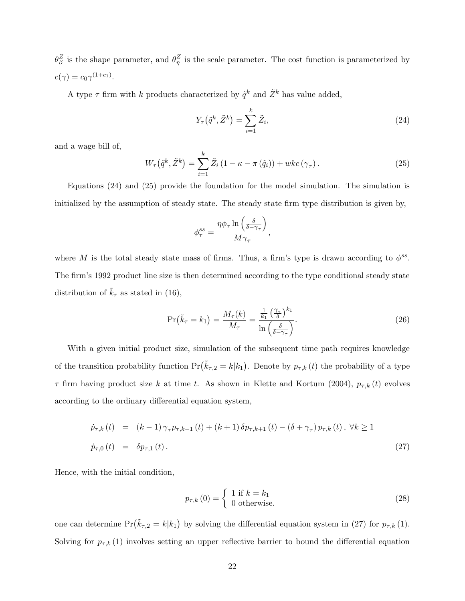$\theta_{\beta}^{Z}$  is the shape parameter, and  $\theta_{\eta}^{Z}$  is the scale parameter. The cost function is parameterized by  $c(\gamma) = c_0 \gamma^{(1+c_1)}$ .

A type  $\tau$  firm with k products characterized by  $\tilde{q}^k$  and  $\tilde{Z}^k$  has value added,

$$
Y_{\tau}(\tilde{q}^k, \tilde{Z}^k) = \sum_{i=1}^k \tilde{Z}_i,
$$
\n(24)

and a wage bill of,

$$
W_{\tau}\left(\tilde{q}^{k}, \tilde{Z}^{k}\right) = \sum_{i=1}^{k} \tilde{Z}_{i} \left(1 - \kappa - \pi\left(\tilde{q}_{i}\right)\right) + wkc\left(\gamma_{\tau}\right). \tag{25}
$$

Equations (24) and (25) provide the foundation for the model simulation. The simulation is initialized by the assumption of steady state. The steady state firm type distribution is given by,

$$
\phi^{ss}_{\tau} = \frac{\eta \phi_{\tau} \ln\left(\frac{\delta}{\delta - \gamma_{\tau}}\right)}{M \gamma_{\tau}},
$$

where M is the total steady state mass of firms. Thus, a firm's type is drawn according to  $\phi^{ss}$ . The firm's 1992 product line size is then determined according to the type conditional steady state distribution of  $k_{\tau}$  as stated in (16),

$$
\Pr\left(\tilde{k}_{\tau}=k_{1}\right)=\frac{M_{\tau}(k)}{M_{\tau}}=\frac{\frac{1}{k_{1}}\left(\frac{\gamma_{\tau}}{\delta}\right)^{k_{1}}}{\ln\left(\frac{\delta}{\delta-\gamma_{\tau}}\right)}.\tag{26}
$$

With a given initial product size, simulation of the subsequent time path requires knowledge of the transition probability function  $Pr(\tilde{k}_{\tau,2} = k|k_1)$ . Denote by  $p_{\tau,k}(t)$  the probability of a type  $\tau$  firm having product size k at time t. As shown in Klette and Kortum (2004),  $p_{\tau,k}(t)$  evolves according to the ordinary differential equation system,

$$
\dot{p}_{\tau,k}(t) = (k-1)\gamma_{\tau}p_{\tau,k-1}(t) + (k+1)\delta p_{\tau,k+1}(t) - (\delta + \gamma_{\tau})p_{\tau,k}(t), \ \forall k \ge 1
$$
  
\n
$$
\dot{p}_{\tau,0}(t) = \delta p_{\tau,1}(t).
$$
\n(27)

Hence, with the initial condition,

$$
p_{\tau,k}(0) = \begin{cases} 1 \text{ if } k = k_1 \\ 0 \text{ otherwise.} \end{cases}
$$
 (28)

one can determine  $Pr(\tilde{k}_{\tau,2} = k|k_1)$  by solving the differential equation system in (27) for  $p_{\tau,k}(1)$ . Solving for  $p_{\tau,k}(1)$  involves setting an upper reflective barrier to bound the differential equation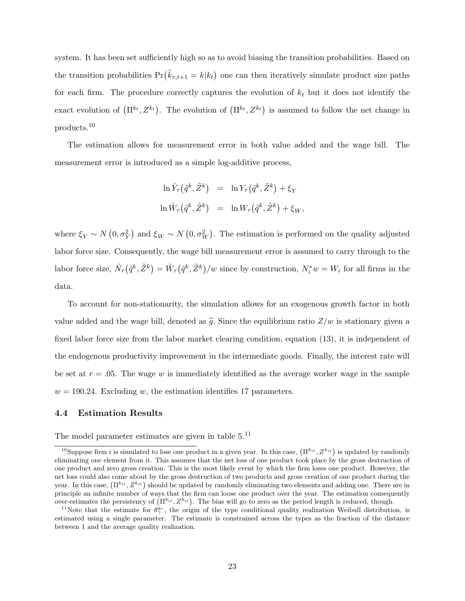system. It has been set sufficiently high so as to avoid biasing the transition probabilities. Based on the transition probabilities  $Pr(\tilde{k}_{\tau,t+1} = k|k_t)$  one can then iteratively simulate product size paths for each firm. The procedure correctly captures the evolution of  $k_t$  but it does not identify the exact evolution of  $(\Pi^{k_t}, Z^{k_t})$ . The evolution of  $(\Pi^{k_t}, Z^{k_t})$  is assumed to follow the net change in products.<sup>10</sup>

The estimation allows for measurement error in both value added and the wage bill. The measurement error is introduced as a simple log-additive process,

$$
\ln \hat{Y}_{\tau}(\tilde{q}^k, \tilde{Z}^k) = \ln Y_{\tau}(\tilde{q}^k, \tilde{Z}^k) + \xi_Y
$$
  

$$
\ln \hat{W}_{\tau}(\tilde{q}^k, \tilde{Z}^k) = \ln W_{\tau}(\tilde{q}^k, \tilde{Z}^k) + \xi_W,
$$

where  $\xi_Y \sim N(0, \sigma_Y^2)$  and  $\xi_W \sim N(0, \sigma_W^2)$ . The estimation is performed on the quality adjusted labor force size. Consequently, the wage bill measurement error is assumed to carry through to the labor force size,  $\hat{N}_{\tau}(\tilde{q}^k, \tilde{Z}^k) = \hat{W}_{\tau}(\tilde{q}^k, \tilde{Z}^k) / w$  since by construction,  $N_i^* w = W_i$  for all firms in the data.

To account for non-stationarity, the simulation allows for an exogenous growth factor in both value added and the wage bill, denoted as  $\hat{g}$ . Since the equilibrium ratio  $Z/w$  is stationary given a fixed labor force size from the labor market clearing condition, equation (13), it is independent of the endogenous productivity improvement in the intermediate goods. Finally, the interest rate will be set at  $r = .05$ . The wage w is immediately identified as the average worker wage in the sample  $w = 190.24$ . Excluding w, the estimation identifies 17 parameters.

#### 4.4 Estimation Results

The model parameter estimates are given in table 5.<sup>11</sup>

<sup>&</sup>lt;sup>10</sup>Suppose firm *i* is simulated to lose one product in a given year. In this case,  $(\Pi^{ki}t, Z^{ki}t)$  is updated by randomly eliminating one element from it. This assumes that the net loss of one product took place by the gross destruction of one product and zero gross creation. This is the most likely event by which the firm loses one product. However, the net loss could also come about by the gross destruction of two products and gross creation of one product during the year. In this case,  $(\Pi^{ki}$ ,  $Z^{ki}$  should be updated by randomly eliminating two elements and adding one. There are in principle an infinite number of ways that the firm can loose one product over the year. The estimation consequently over-estimates the persistency of  $(\Pi^{k_{it}}, Z^{k_{it}})$ . The bias will go to zero as the period length is reduced, though.

<sup>&</sup>lt;sup>11</sup>Note that the estimate for  $\theta_{\gamma}^{\dot{q}_{\tau}}$ , the origin of the type conditional quality realization Weibull distribution, is estimated using a single parameter. The estimate is constrained across the types as the fraction of the distance between 1 and the average quality realization.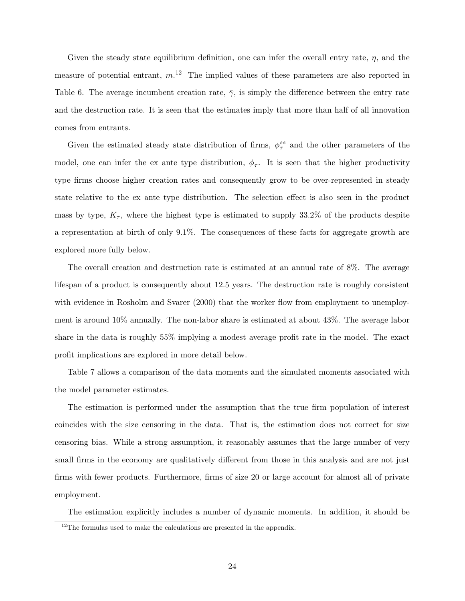Given the steady state equilibrium definition, one can infer the overall entry rate,  $\eta$ , and the measure of potential entrant,  $m^{12}$  The implied values of these parameters are also reported in Table 6. The average incumbent creation rate,  $\bar{\gamma}$ , is simply the difference between the entry rate and the destruction rate. It is seen that the estimates imply that more than half of all innovation comes from entrants.

Given the estimated steady state distribution of firms,  $\phi_{\tau}^{ss}$  and the other parameters of the model, one can infer the ex ante type distribution,  $\phi_{\tau}$ . It is seen that the higher productivity type firms choose higher creation rates and consequently grow to be over-represented in steady state relative to the ex ante type distribution. The selection effect is also seen in the product mass by type,  $K_{\tau}$ , where the highest type is estimated to supply 33.2% of the products despite a representation at birth of only 9.1%. The consequences of these facts for aggregate growth are explored more fully below.

The overall creation and destruction rate is estimated at an annual rate of 8%. The average lifespan of a product is consequently about 12.5 years. The destruction rate is roughly consistent with evidence in Rosholm and Svarer (2000) that the worker flow from employment to unemployment is around 10% annually. The non-labor share is estimated at about 43%. The average labor share in the data is roughly 55% implying a modest average profit rate in the model. The exact profit implications are explored in more detail below.

Table 7 allows a comparison of the data moments and the simulated moments associated with the model parameter estimates.

The estimation is performed under the assumption that the true firm population of interest coincides with the size censoring in the data. That is, the estimation does not correct for size censoring bias. While a strong assumption, it reasonably assumes that the large number of very small firms in the economy are qualitatively different from those in this analysis and are not just firms with fewer products. Furthermore, firms of size 20 or large account for almost all of private employment.

The estimation explicitly includes a number of dynamic moments. In addition, it should be

 $12$ The formulas used to make the calculations are presented in the appendix.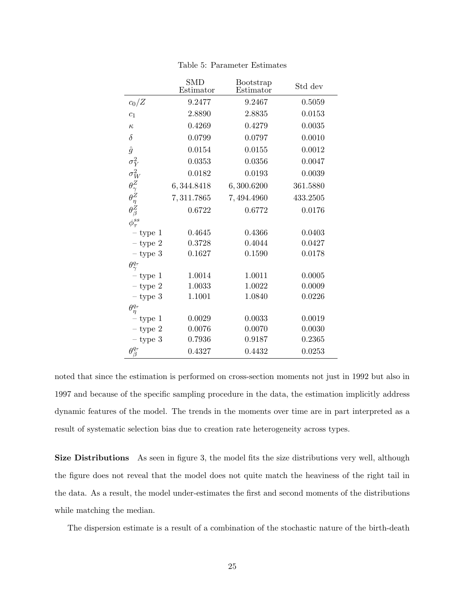|                                                                                  | <b>SMD</b><br>Estimator | Bootstrap<br>Estimator | Std dev  |
|----------------------------------------------------------------------------------|-------------------------|------------------------|----------|
| $c_0/Z$                                                                          | 9.2477                  | 9.2467                 | 0.5059   |
| c <sub>1</sub>                                                                   | 2.8890                  | 2.8835                 | 0.0153   |
| $\kappa$                                                                         | 0.4269                  | 0.4279                 | 0.0035   |
| $\delta$                                                                         | 0.0799                  | 0.0797                 | 0.0010   |
| $\hat{g}$                                                                        | 0.0154                  | 0.0155                 | 0.0012   |
| $\sigma_Y^2$                                                                     | 0.0353                  | 0.0356                 | 0.0047   |
|                                                                                  | 0.0182                  | 0.0193                 | 0.0039   |
|                                                                                  | 6,344.8418              | 6,300.6200             | 361.5880 |
| $\begin{array}{c} \sigma_W^2 \ \theta_Z^Z \ \theta_R^Z \ \theta_B^Z \end{array}$ | 7,311.7865              | 7,494.4960             | 433.2505 |
|                                                                                  | 0.6722                  | 0.6772                 | 0.0176   |
| $\phi^{ss}_{\tau}$                                                               |                         |                        |          |
| $-$ type 1                                                                       | 0.4645                  | 0.4366                 | 0.0403   |
| $-$ type 2                                                                       | 0.3728                  | 0.4044                 | 0.0427   |
| $-$ type 3                                                                       | 0.1627                  | 0.1590                 | 0.0178   |
| $\theta^{q_\tau}_\gamma$                                                         |                         |                        |          |
| $-$ type 1                                                                       | 1.0014                  | 1.0011                 | 0.0005   |
| $-$ type $2$                                                                     | 1.0033                  | 1.0022                 | 0.0009   |
| $-$ type $3$                                                                     | 1.1001                  | 1.0840                 | 0.0226   |
| $\theta^{q_\tau}_\eta$                                                           |                         |                        |          |
| $-$ type 1                                                                       | 0.0029                  | 0.0033                 | 0.0019   |
| $-$ type $2$                                                                     | 0.0076                  | 0.0070                 | 0.0030   |
| $-$ type $3$                                                                     | 0.7936                  | 0.9187                 | 0.2365   |
| $\theta^{q_{\tau}}$<br>ß                                                         | 0.4327                  | 0.4432                 | 0.0253   |

Table 5: Parameter Estimates

noted that since the estimation is performed on cross-section moments not just in 1992 but also in 1997 and because of the specific sampling procedure in the data, the estimation implicitly address dynamic features of the model. The trends in the moments over time are in part interpreted as a result of systematic selection bias due to creation rate heterogeneity across types.

Size Distributions As seen in figure 3, the model fits the size distributions very well, although the figure does not reveal that the model does not quite match the heaviness of the right tail in the data. As a result, the model under-estimates the first and second moments of the distributions while matching the median.

The dispersion estimate is a result of a combination of the stochastic nature of the birth-death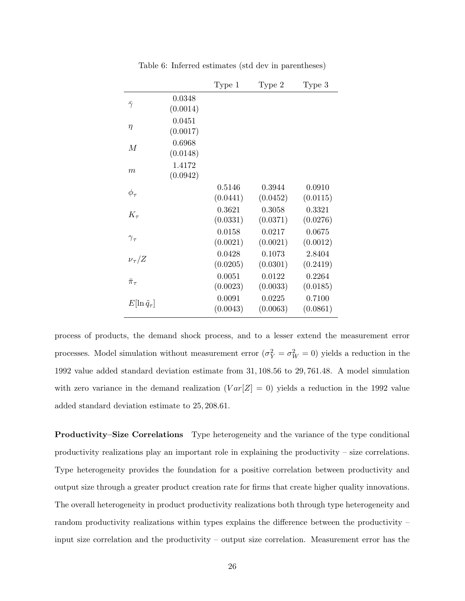|                           |                    | Type 1             | Type 2             | Type 3             |
|---------------------------|--------------------|--------------------|--------------------|--------------------|
| $\bar{\gamma}$            | 0.0348<br>(0.0014) |                    |                    |                    |
| η                         | 0.0451<br>(0.0017) |                    |                    |                    |
| M                         | 0.6968<br>(0.0148) |                    |                    |                    |
| $\boldsymbol{m}$          | 1.4172<br>(0.0942) |                    |                    |                    |
| $\phi_\tau$               |                    | 0.5146<br>(0.0441) | 0.3944<br>(0.0452) | 0.0910<br>(0.0115) |
| $K_{\tau}$                |                    | 0.3621<br>(0.0331) | 0.3058<br>(0.0371) | 0.3321<br>(0.0276) |
| $\gamma_{\tau}$           |                    | 0.0158<br>(0.0021) | 0.0217<br>(0.0021) | 0.0675<br>(0.0012) |
| $\nu_\tau/Z$              |                    | 0.0428<br>(0.0205) | 0.1073<br>(0.0301) | 2.8404<br>(0.2419) |
| $\bar{\pi}_{\tau}$        |                    | 0.0051<br>(0.0023) | 0.0122<br>(0.0033) | 0.2264<br>(0.0185) |
| $E[\ln \tilde{q}_{\tau}]$ |                    | 0.0091<br>(0.0043) | 0.0225<br>(0.0063) | 0.7100<br>(0.0861) |

Table 6: Inferred estimates (std dev in parentheses)

process of products, the demand shock process, and to a lesser extend the measurement error processes. Model simulation without measurement error  $(\sigma_Y^2 = \sigma_W^2 = 0)$  yields a reduction in the 1992 value added standard deviation estimate from 31, 108.56 to 29, 761.48. A model simulation with zero variance in the demand realization  $(Var[Z] = 0)$  yields a reduction in the 1992 value added standard deviation estimate to 25, 208.61.

Productivity–Size Correlations Type heterogeneity and the variance of the type conditional productivity realizations play an important role in explaining the productivity – size correlations. Type heterogeneity provides the foundation for a positive correlation between productivity and output size through a greater product creation rate for firms that create higher quality innovations. The overall heterogeneity in product productivity realizations both through type heterogeneity and random productivity realizations within types explains the difference between the productivity – input size correlation and the productivity – output size correlation. Measurement error has the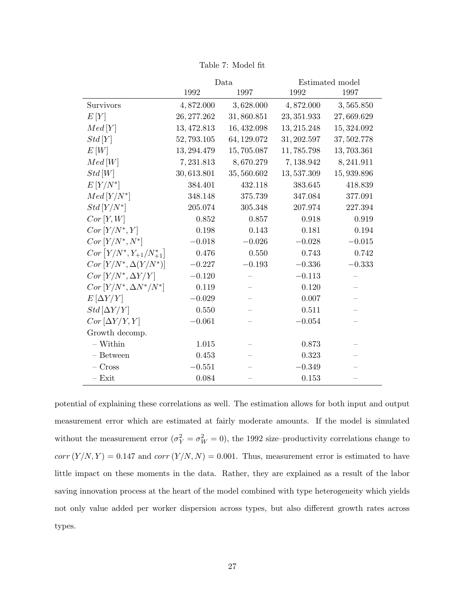|                                          | Data        |             | Estimated model |             |  |
|------------------------------------------|-------------|-------------|-----------------|-------------|--|
|                                          | 1992        | 1997        | 1992            | 1997        |  |
| Survivors                                | 4,872.000   | 3,628.000   | 4,872.000       | 3,565.850   |  |
| E[Y]                                     | 26, 277.262 | 31,860.851  | 23, 351.933     | 27,669.629  |  |
| Med[Y]                                   | 13, 472.813 | 16, 432.098 | 13, 215.248     | 15, 324.092 |  |
| Std[Y]                                   | 52,793.105  | 64, 129.072 | 31, 202.597     | 37, 502.778 |  |
| E[W]                                     | 13, 294.479 | 15,705.087  | 11,785.798      | 13,703.361  |  |
| Med[W]                                   | 7,231.813   | 8,670.279   | 7,138.942       | 8,241.911   |  |
| Std[W]                                   | 30,613.801  | 35,560.602  | 13,537.309      | 15,939.896  |  |
| $E[Y/N^*]$                               | 384.401     | 432.118     | 383.645         | 418.839     |  |
| $Med[Y/N^*]$                             | 348.148     | 375.739     | 347.084         | 377.091     |  |
| $Std[Y/N^*]$                             | 205.074     | 305.348     | 207.974         | 227.394     |  |
| Cor[Y, W]                                | 0.852       | 0.857       | 0.918           | 0.919       |  |
| $Cor[Y/N^*,Y]$                           | 0.198       | 0.143       | 0.181           | 0.194       |  |
| $Cor[Y/N^*,N^*]$                         | $-0.018$    | $-0.026$    | $-0.028$        | $-0.015$    |  |
| $Cor\left[Y/N^*, Y_{+1}/N^*_{+1}\right]$ | 0.476       | 0.550       | 0.743           | 0.742       |  |
| $Cor[Y/N^*, \Delta(Y/N^*)]$              | $-0.227$    | $-0.193$    | $-0.336$        | $-0.333$    |  |
| $Cor[Y/N^*, \Delta Y/Y]$                 | $-0.120$    |             | $-0.113$        |             |  |
| $Cor[Y/N^*, \Delta N^*/N^*]$             | 0.119       |             | 0.120           |             |  |
| $E[\Delta Y/Y]$                          | $-0.029$    |             | 0.007           |             |  |
| $Std[\Delta Y/Y]$                        | 0.550       |             | 0.511           |             |  |
| $Cor \left[\Delta Y/Y,Y\right]$          | $-0.061$    |             | $-0.054$        |             |  |
| Growth decomp.                           |             |             |                 |             |  |
| $-$ Within                               | 1.015       |             | 0.873           |             |  |
| - Between                                | 0.453       |             | 0.323           |             |  |
| $-$ Cross                                | $-0.551$    |             | $-0.349$        |             |  |
| $-$ Exit                                 | 0.084       |             | 0.153           |             |  |

Table 7: Model fit

potential of explaining these correlations as well. The estimation allows for both input and output measurement error which are estimated at fairly moderate amounts. If the model is simulated without the measurement error  $(\sigma_Y^2 = \sigma_W^2 = 0)$ , the 1992 size-productivity correlations change to  $corr(Y/N, Y) = 0.147$  and  $corr(Y/N, N) = 0.001$ . Thus, measurement error is estimated to have little impact on these moments in the data. Rather, they are explained as a result of the labor saving innovation process at the heart of the model combined with type heterogeneity which yields not only value added per worker dispersion across types, but also different growth rates across types.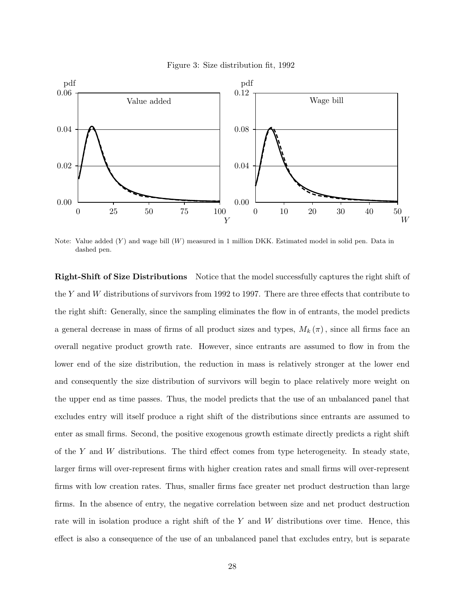



Note: Value added  $(Y)$  and wage bill  $(W)$  measured in 1 million DKK. Estimated model in solid pen. Data in dashed pen.

Right-Shift of Size Distributions Notice that the model successfully captures the right shift of the Y and W distributions of survivors from 1992 to 1997. There are three effects that contribute to the right shift: Generally, since the sampling eliminates the flow in of entrants, the model predicts a general decrease in mass of firms of all product sizes and types,  $M_k(\pi)$ , since all firms face an overall negative product growth rate. However, since entrants are assumed to flow in from the lower end of the size distribution, the reduction in mass is relatively stronger at the lower end and consequently the size distribution of survivors will begin to place relatively more weight on the upper end as time passes. Thus, the model predicts that the use of an unbalanced panel that excludes entry will itself produce a right shift of the distributions since entrants are assumed to enter as small firms. Second, the positive exogenous growth estimate directly predicts a right shift of the  $Y$  and  $W$  distributions. The third effect comes from type heterogeneity. In steady state, larger firms will over-represent firms with higher creation rates and small firms will over-represent firms with low creation rates. Thus, smaller firms face greater net product destruction than large firms. In the absence of entry, the negative correlation between size and net product destruction rate will in isolation produce a right shift of the Y and W distributions over time. Hence, this effect is also a consequence of the use of an unbalanced panel that excludes entry, but is separate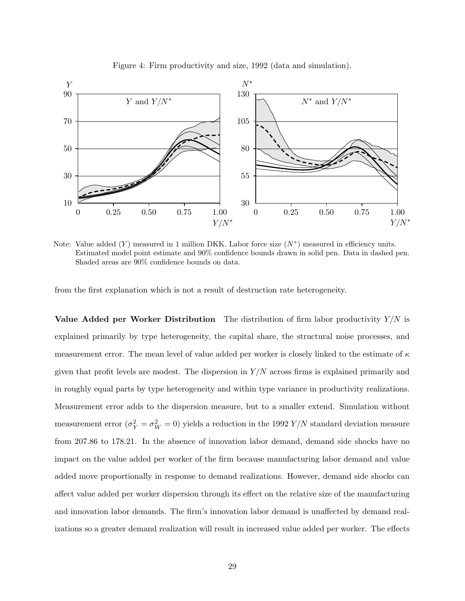

Figure 4: Firm productivity and size, 1992 (data and simulation).

Note: Value added  $(Y)$  measured in 1 million DKK. Labor force size  $(N^*)$  measured in efficiency units. Estimated model point estimate and 90% confidence bounds drawn in solid pen. Data in dashed pen. Shaded areas are 90% confidence bounds on data.

from the first explanation which is not a result of destruction rate heterogeneity.

Value Added per Worker Distribution The distribution of firm labor productivity  $Y/N$  is explained primarily by type heterogeneity, the capital share, the structural noise processes, and measurement error. The mean level of value added per worker is closely linked to the estimate of  $\kappa$ given that profit levels are modest. The dispersion in  $Y/N$  across firms is explained primarily and in roughly equal parts by type heterogeneity and within type variance in productivity realizations. Measurement error adds to the dispersion measure, but to a smaller extend. Simulation without measurement error ( $\sigma_Y^2 = \sigma_W^2 = 0$ ) yields a reduction in the 1992 Y/N standard deviation measure from 207.86 to 178.21. In the absence of innovation labor demand, demand side shocks have no impact on the value added per worker of the firm because manufacturing labor demand and value added move proportionally in response to demand realizations. However, demand side shocks can affect value added per worker dispersion through its effect on the relative size of the manufacturing and innovation labor demands. The firm's innovation labor demand is unaffected by demand realizations so a greater demand realization will result in increased value added per worker. The effects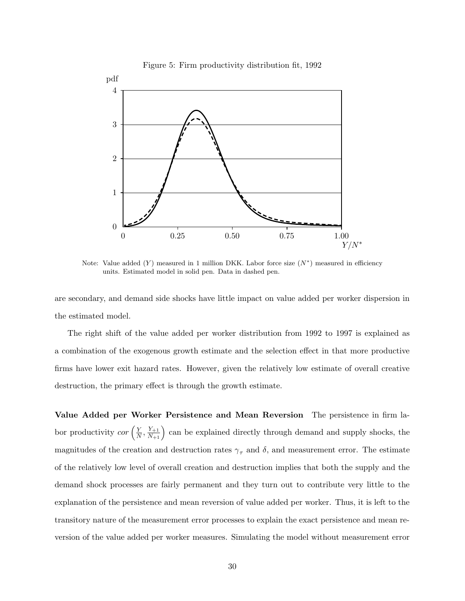

Figure 5: Firm productivity distribution fit, 1992

Note: Value added  $(Y)$  measured in 1 million DKK. Labor force size  $(N^*)$  measured in efficiency units. Estimated model in solid pen. Data in dashed pen.

are secondary, and demand side shocks have little impact on value added per worker dispersion in the estimated model.

The right shift of the value added per worker distribution from 1992 to 1997 is explained as a combination of the exogenous growth estimate and the selection effect in that more productive firms have lower exit hazard rates. However, given the relatively low estimate of overall creative destruction, the primary effect is through the growth estimate.

Value Added per Worker Persistence and Mean Reversion The persistence in firm labor productivity *cor*  $\left(\frac{Y}{N}\right)$  $\left(\frac{Y}{N}, \frac{Y_{+1}}{N_{+1}}\right)$  can be explained directly through demand and supply shocks, the magnitudes of the creation and destruction rates  $\gamma_{\tau}$  and  $\delta$ , and measurement error. The estimate of the relatively low level of overall creation and destruction implies that both the supply and the demand shock processes are fairly permanent and they turn out to contribute very little to the explanation of the persistence and mean reversion of value added per worker. Thus, it is left to the transitory nature of the measurement error processes to explain the exact persistence and mean reversion of the value added per worker measures. Simulating the model without measurement error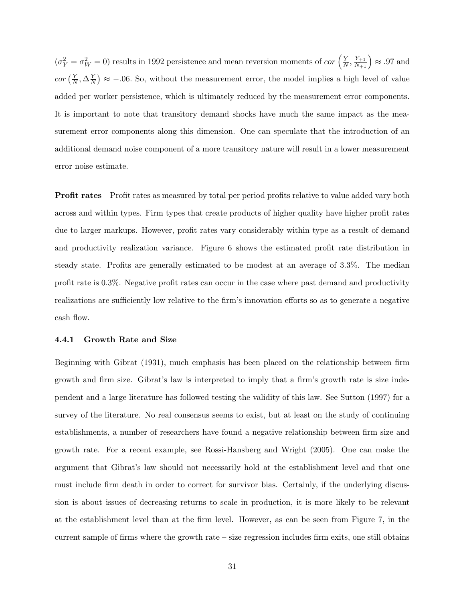$(\sigma_Y^2 = \sigma_W^2 = 0)$  results in 1992 persistence and mean reversion moments of cor  $\left(\frac{Y}{N}\right)$  $\frac{Y}{N}, \frac{Y_{+1}}{N_{+1}}$   $\geq$  .97 and  $cor\left(\frac{Y}{\Lambda}\right)$  $\frac{Y}{N}, \Delta \frac{Y}{N}$   $\approx$  -.06. So, without the measurement error, the model implies a high level of value added per worker persistence, which is ultimately reduced by the measurement error components. It is important to note that transitory demand shocks have much the same impact as the measurement error components along this dimension. One can speculate that the introduction of an additional demand noise component of a more transitory nature will result in a lower measurement error noise estimate.

Profit rates Profit rates as measured by total per period profits relative to value added vary both across and within types. Firm types that create products of higher quality have higher profit rates due to larger markups. However, profit rates vary considerably within type as a result of demand and productivity realization variance. Figure 6 shows the estimated profit rate distribution in steady state. Profits are generally estimated to be modest at an average of 3.3%. The median profit rate is 0.3%. Negative profit rates can occur in the case where past demand and productivity realizations are sufficiently low relative to the firm's innovation efforts so as to generate a negative cash flow.

#### 4.4.1 Growth Rate and Size

Beginning with Gibrat (1931), much emphasis has been placed on the relationship between firm growth and firm size. Gibrat's law is interpreted to imply that a firm's growth rate is size independent and a large literature has followed testing the validity of this law. See Sutton (1997) for a survey of the literature. No real consensus seems to exist, but at least on the study of continuing establishments, a number of researchers have found a negative relationship between firm size and growth rate. For a recent example, see Rossi-Hansberg and Wright (2005). One can make the argument that Gibrat's law should not necessarily hold at the establishment level and that one must include firm death in order to correct for survivor bias. Certainly, if the underlying discussion is about issues of decreasing returns to scale in production, it is more likely to be relevant at the establishment level than at the firm level. However, as can be seen from Figure 7, in the current sample of firms where the growth rate – size regression includes firm exits, one still obtains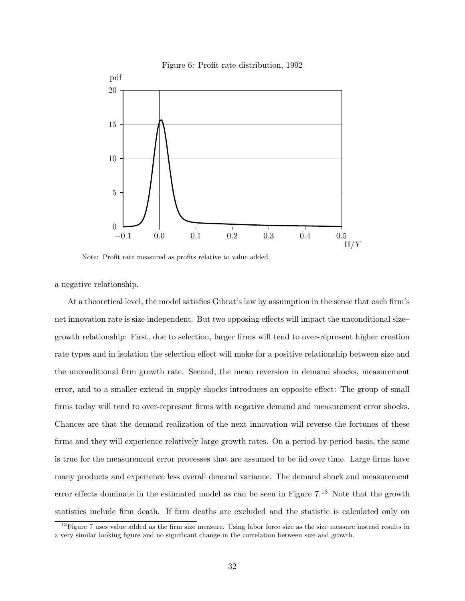

Note: Profit rate measured as profits relative to value added.

a negative relationship.

At a theoretical level, the model satisfies Gibrat's law by assumption in the sense that each firm's net innovation rate is size independent. But two opposing effects will impact the unconditional size– growth relationship: First, due to selection, larger firms will tend to over-represent higher creation rate types and in isolation the selection effect will make for a positive relationship between size and the unconditional firm growth rate. Second, the mean reversion in demand shocks, measurement error, and to a smaller extend in supply shocks introduces an opposite effect: The group of small firms today will tend to over-represent firms with negative demand and measurement error shocks. Chances are that the demand realization of the next innovation will reverse the fortunes of these firms and they will experience relatively large growth rates. On a period-by-period basis, the same is true for the measurement error processes that are assumed to be iid over time. Large firms have many products and experience less overall demand variance. The demand shock and measurement error effects dominate in the estimated model as can be seen in Figure  $7<sup>13</sup>$  Note that the growth statistics include firm death. If firm deaths are excluded and the statistic is calculated only on

 $13$ Figure 7 uses value added as the firm size measure. Using labor force size as the size measure instead results in a very similar looking figure and no significant change in the correlation between size and growth.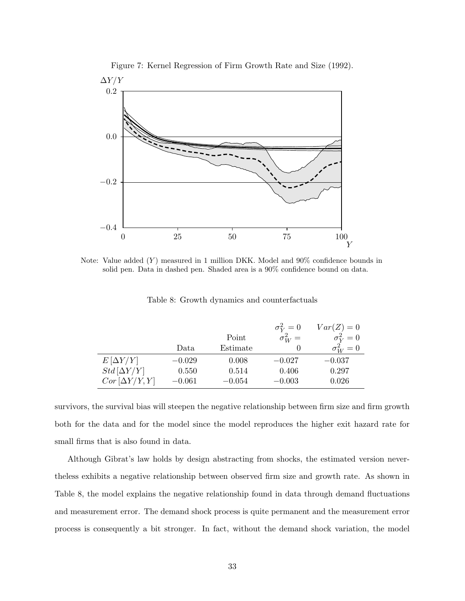

Figure 7: Kernel Regression of Firm Growth Rate and Size (1992).

Note: Value added  $(Y)$  measured in 1 million DKK. Model and  $90\%$  confidence bounds in solid pen. Data in dashed pen. Shaded area is a 90% confidence bound on data.

|                      | Data     | Point<br>Estimate | $\sigma_V^2=0$<br>$\sigma_W^2 =$ | $Var(Z) = 0$<br>$\sigma_V^2=0$<br>$\sigma_W^2=0$ |
|----------------------|----------|-------------------|----------------------------------|--------------------------------------------------|
| $E[\Delta Y/Y]$      | $-0.029$ | 0.008             | $-0.027$                         | $-0.037$                                         |
| $Std[\Delta Y/Y]$    | 0.550    | 0.514             | 0.406                            | 0.297                                            |
| $Cor[\Delta Y/Y, Y]$ | $-0.061$ | $-0.054$          | $-0.003$                         | 0.026                                            |

Table 8: Growth dynamics and counterfactuals

survivors, the survival bias will steepen the negative relationship between firm size and firm growth both for the data and for the model since the model reproduces the higher exit hazard rate for small firms that is also found in data.

Although Gibrat's law holds by design abstracting from shocks, the estimated version nevertheless exhibits a negative relationship between observed firm size and growth rate. As shown in Table 8, the model explains the negative relationship found in data through demand fluctuations and measurement error. The demand shock process is quite permanent and the measurement error process is consequently a bit stronger. In fact, without the demand shock variation, the model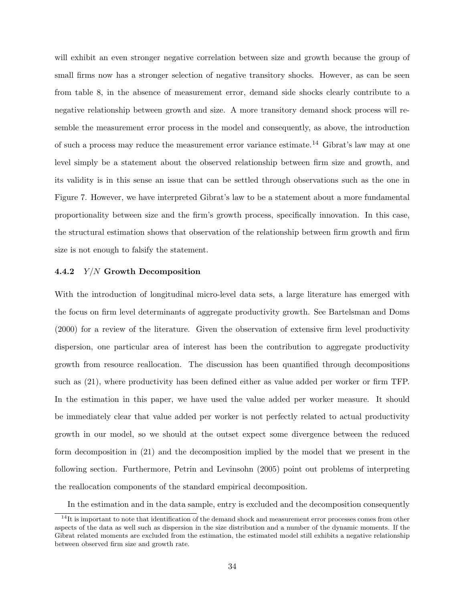will exhibit an even stronger negative correlation between size and growth because the group of small firms now has a stronger selection of negative transitory shocks. However, as can be seen from table 8, in the absence of measurement error, demand side shocks clearly contribute to a negative relationship between growth and size. A more transitory demand shock process will resemble the measurement error process in the model and consequently, as above, the introduction of such a process may reduce the measurement error variance estimate.<sup>14</sup> Gibrat's law may at one level simply be a statement about the observed relationship between firm size and growth, and its validity is in this sense an issue that can be settled through observations such as the one in Figure 7. However, we have interpreted Gibrat's law to be a statement about a more fundamental proportionality between size and the firm's growth process, specifically innovation. In this case, the structural estimation shows that observation of the relationship between firm growth and firm size is not enough to falsify the statement.

#### 4.4.2 Y/N Growth Decomposition

With the introduction of longitudinal micro-level data sets, a large literature has emerged with the focus on firm level determinants of aggregate productivity growth. See Bartelsman and Doms (2000) for a review of the literature. Given the observation of extensive firm level productivity dispersion, one particular area of interest has been the contribution to aggregate productivity growth from resource reallocation. The discussion has been quantified through decompositions such as (21), where productivity has been defined either as value added per worker or firm TFP. In the estimation in this paper, we have used the value added per worker measure. It should be immediately clear that value added per worker is not perfectly related to actual productivity growth in our model, so we should at the outset expect some divergence between the reduced form decomposition in (21) and the decomposition implied by the model that we present in the following section. Furthermore, Petrin and Levinsohn (2005) point out problems of interpreting the reallocation components of the standard empirical decomposition.

In the estimation and in the data sample, entry is excluded and the decomposition consequently

 $14$ It is important to note that identification of the demand shock and measurement error processes comes from other aspects of the data as well such as dispersion in the size distribution and a number of the dynamic moments. If the Gibrat related moments are excluded from the estimation, the estimated model still exhibits a negative relationship between observed firm size and growth rate.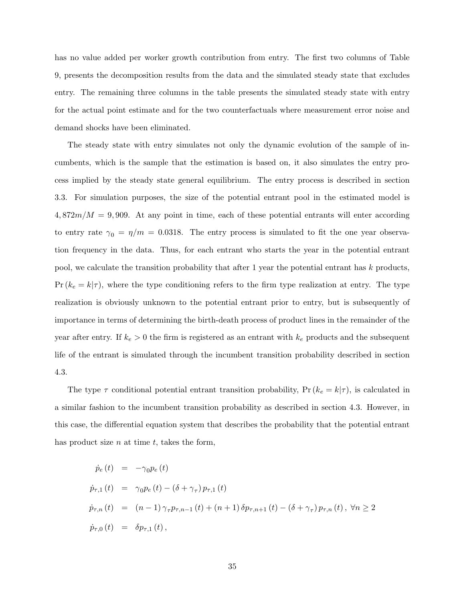has no value added per worker growth contribution from entry. The first two columns of Table 9, presents the decomposition results from the data and the simulated steady state that excludes entry. The remaining three columns in the table presents the simulated steady state with entry for the actual point estimate and for the two counterfactuals where measurement error noise and demand shocks have been eliminated.

The steady state with entry simulates not only the dynamic evolution of the sample of incumbents, which is the sample that the estimation is based on, it also simulates the entry process implied by the steady state general equilibrium. The entry process is described in section 3.3. For simulation purposes, the size of the potential entrant pool in the estimated model is  $4,872m/M = 9,909$ . At any point in time, each of these potential entrants will enter according to entry rate  $\gamma_0 = \eta/m = 0.0318$ . The entry process is simulated to fit the one year observation frequency in the data. Thus, for each entrant who starts the year in the potential entrant pool, we calculate the transition probability that after 1 year the potential entrant has k products,  $Pr(k_e = k|\tau)$ , where the type conditioning refers to the firm type realization at entry. The type realization is obviously unknown to the potential entrant prior to entry, but is subsequently of importance in terms of determining the birth-death process of product lines in the remainder of the year after entry. If  $k_e > 0$  the firm is registered as an entrant with  $k_e$  products and the subsequent life of the entrant is simulated through the incumbent transition probability described in section 4.3.

The type  $\tau$  conditional potential entrant transition probability, Pr( $k_e = k|\tau$ ), is calculated in a similar fashion to the incumbent transition probability as described in section 4.3. However, in this case, the differential equation system that describes the probability that the potential entrant has product size  $n$  at time  $t$ , takes the form,

$$
\dot{p}_e(t) = -\gamma_0 p_e(t) \n\dot{p}_{\tau,1}(t) = \gamma_0 p_e(t) - (\delta + \gamma_\tau) p_{\tau,1}(t) \n\dot{p}_{\tau,n}(t) = (n-1)\gamma_\tau p_{\tau,n-1}(t) + (n+1)\delta p_{\tau,n+1}(t) - (\delta + \gamma_\tau) p_{\tau,n}(t), \forall n \ge 2 \n\dot{p}_{\tau,0}(t) = \delta p_{\tau,1}(t),
$$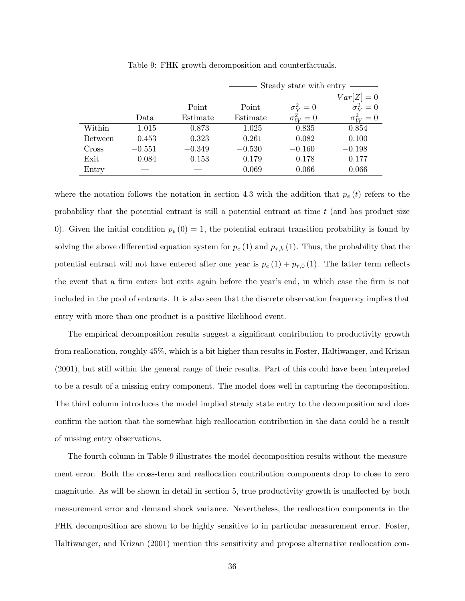|                |          | Steady state with entry $-$ |          |                |                |  |
|----------------|----------|-----------------------------|----------|----------------|----------------|--|
|                |          |                             |          |                | $Var[Z] = 0$   |  |
|                |          | Point                       | Point    | $\sigma_Y^2=0$ | $\sigma_V^2=0$ |  |
|                | Data     | Estimate                    | Estimate | $\sigma_W^2=0$ | $\sigma_W^2=0$ |  |
| Within         | 1.015    | 0.873                       | 1.025    | 0.835          | 0.854          |  |
| <b>Between</b> | 0.453    | 0.323                       | 0.261    | 0.082          | 0.100          |  |
| Cross          | $-0.551$ | $-0.349$                    | $-0.530$ | $-0.160$       | $-0.198$       |  |
| Exit           | 0.084    | 0.153                       | 0.179    | 0.178          | 0.177          |  |
| Entry          |          |                             | 0.069    | 0.066          | 0.066          |  |

Table 9: FHK growth decomposition and counterfactuals.

where the notation follows the notation in section 4.3 with the addition that  $p_e(t)$  refers to the probability that the potential entrant is still a potential entrant at time  $t$  (and has product size 0). Given the initial condition  $p_e(0) = 1$ , the potential entrant transition probability is found by solving the above differential equation system for  $p_e(1)$  and  $p_{\tau,k}(1)$ . Thus, the probability that the potential entrant will not have entered after one year is  $p_e(1) + p_{\tau,0}(1)$ . The latter term reflects the event that a firm enters but exits again before the year's end, in which case the firm is not included in the pool of entrants. It is also seen that the discrete observation frequency implies that entry with more than one product is a positive likelihood event.

The empirical decomposition results suggest a significant contribution to productivity growth from reallocation, roughly 45%, which is a bit higher than results in Foster, Haltiwanger, and Krizan (2001), but still within the general range of their results. Part of this could have been interpreted to be a result of a missing entry component. The model does well in capturing the decomposition. The third column introduces the model implied steady state entry to the decomposition and does confirm the notion that the somewhat high reallocation contribution in the data could be a result of missing entry observations.

The fourth column in Table 9 illustrates the model decomposition results without the measurement error. Both the cross-term and reallocation contribution components drop to close to zero magnitude. As will be shown in detail in section 5, true productivity growth is unaffected by both measurement error and demand shock variance. Nevertheless, the reallocation components in the FHK decomposition are shown to be highly sensitive to in particular measurement error. Foster, Haltiwanger, and Krizan (2001) mention this sensitivity and propose alternative reallocation con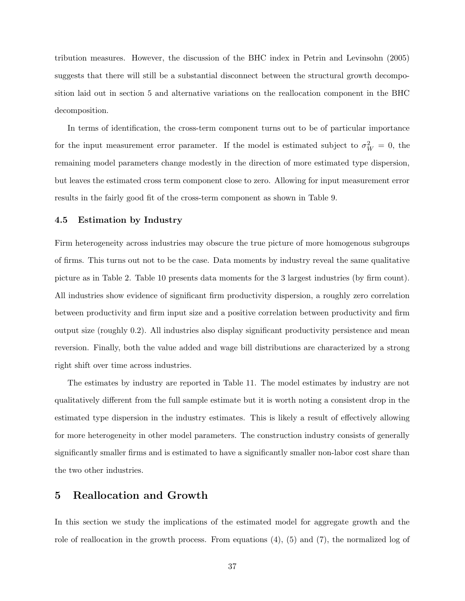tribution measures. However, the discussion of the BHC index in Petrin and Levinsohn (2005) suggests that there will still be a substantial disconnect between the structural growth decomposition laid out in section 5 and alternative variations on the reallocation component in the BHC decomposition.

In terms of identification, the cross-term component turns out to be of particular importance for the input measurement error parameter. If the model is estimated subject to  $\sigma_W^2 = 0$ , the remaining model parameters change modestly in the direction of more estimated type dispersion, but leaves the estimated cross term component close to zero. Allowing for input measurement error results in the fairly good fit of the cross-term component as shown in Table 9.

#### 4.5 Estimation by Industry

Firm heterogeneity across industries may obscure the true picture of more homogenous subgroups of firms. This turns out not to be the case. Data moments by industry reveal the same qualitative picture as in Table 2. Table 10 presents data moments for the 3 largest industries (by firm count). All industries show evidence of significant firm productivity dispersion, a roughly zero correlation between productivity and firm input size and a positive correlation between productivity and firm output size (roughly 0.2). All industries also display significant productivity persistence and mean reversion. Finally, both the value added and wage bill distributions are characterized by a strong right shift over time across industries.

The estimates by industry are reported in Table 11. The model estimates by industry are not qualitatively different from the full sample estimate but it is worth noting a consistent drop in the estimated type dispersion in the industry estimates. This is likely a result of effectively allowing for more heterogeneity in other model parameters. The construction industry consists of generally significantly smaller firms and is estimated to have a significantly smaller non-labor cost share than the two other industries.

### 5 Reallocation and Growth

In this section we study the implications of the estimated model for aggregate growth and the role of reallocation in the growth process. From equations  $(4)$ ,  $(5)$  and  $(7)$ , the normalized log of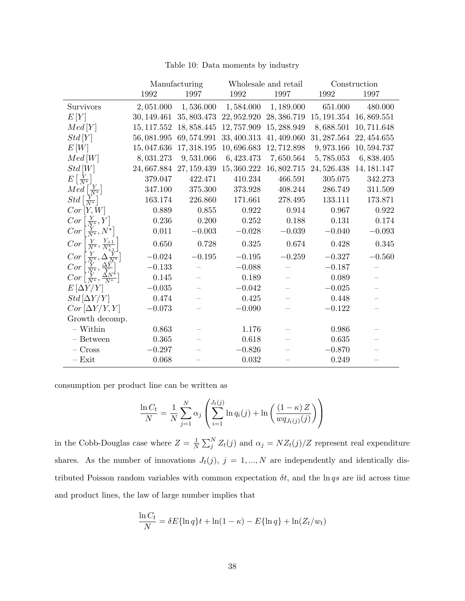|  |  |  | Table 10: Data moments by industry |  |  |
|--|--|--|------------------------------------|--|--|
|--|--|--|------------------------------------|--|--|

|                                                                                                                         |             | Manufacturing |             | Wholesale and retail    |             | Construction |
|-------------------------------------------------------------------------------------------------------------------------|-------------|---------------|-------------|-------------------------|-------------|--------------|
|                                                                                                                         | $1992\,$    | $1997\,$      | 1992        | 1997                    | 1992        | 1997         |
| Survivors                                                                                                               | 2,051.000   | 1,536.000     | 1,584.000   | 1,189.000               | 651.000     | 480.000      |
| E[Y]                                                                                                                    | 30, 149.461 | 35, 803.473   | 22, 952.920 | 28, 386.719             | 15, 191.354 | 16,869.551   |
| Med[Y]                                                                                                                  | 15, 117.552 | 18, 858.445   | 12, 757.909 | 15, 288.949             | 8,688.501   | 10,711.648   |
| Std[Y]                                                                                                                  | 56,081.995  | 69, 574.991   | 33, 400.313 | 41, 409.060             | 31, 287.564 | 22, 454.655  |
| E[W]                                                                                                                    | 15,047.636  | 17, 318.195   | 10,696.683  | 12,712.898              | 9,973.166   | 10, 594.737  |
| Med[W]                                                                                                                  | 8,031.273   | 9,531.066     | 6,423.473   | 7,650.564               | 5,785.053   | 6,838.405    |
| Std[W]                                                                                                                  | 24,667.884  | 27, 159.439   |             | 15, 360.222 16, 802.715 | 24, 526.438 | 14, 181.147  |
| $E\left[\frac{Y}{N^*}\right]$                                                                                           | 379.047     | 422.471       | 410.234     | 466.591                 | 305.075     | 342.273      |
| $Med\left[\frac{Y}{N^*}\right]$                                                                                         | 347.100     | 375.300       | 373.928     | 408.244                 | 286.749     | 311.509      |
| $Std\left[\frac{Y}{N^*}\right]$                                                                                         | 163.174     | 226.860       | 171.661     | 278.495                 | 133.111     | 173.871      |
| Cor <sub>[Y, W]</sub>                                                                                                   | 0.889       | 0.855         | 0.922       | 0.914                   | 0.967       | 0.922        |
| $Cor\left[\frac{Y}{N^*}, Y\right]$                                                                                      | 0.236       | 0.200         | 0.252       | 0.188                   | 0.131       | 0.174        |
| $Cor\left[\frac{Y}{N^*}, N^*\right]$                                                                                    | $0.011\,$   | $-0.003$      | $-0.028$    | $-0.039\,$              | $-0.040$    | $-0.093$     |
| $Cor\left[\frac{Y}{N^*}, \frac{Y_{+1}}{N^*_{+1}}\right]$                                                                | 0.650       | 0.728         | 0.325       | 0.674                   | 0.428       | $0.345\,$    |
| $Cor\left[\frac{Y}{N^*}, \frac{\Delta_{N^*}^{Y^*}}{N^*}\right]$<br>Cor $\left[\frac{Y}{N^*}, \frac{\Delta Y}{Y}\right]$ | $-0.024$    | $-0.195$      | $-0.195$    | $-0.259$                | $-0.327$    | $-0.560$     |
|                                                                                                                         | $-0.133$    |               | $-0.088$    |                         | $-0.187$    |              |
| $Cor\left[\frac{Y}{N^*}, \frac{\Delta N^*}{N^*}\right]$                                                                 | 0.145       |               | 0.189       |                         | 0.089       |              |
| $E[\Delta Y/Y]$                                                                                                         | $-0.035\,$  |               | $-0.042$    |                         | $-0.025\,$  |              |
| $Std[\Delta Y/Y]$                                                                                                       | 0.474       |               | 0.425       |                         | 0.448       |              |
| $Cor[\Delta Y/Y, Y]$                                                                                                    | $-0.073$    |               | $-0.090$    |                         | $-0.122$    |              |
| Growth decomp.                                                                                                          |             |               |             |                         |             |              |
| $\sim$ Within                                                                                                           | 0.863       |               | 1.176       |                         | 0.986       |              |
| $-$ Between                                                                                                             | 0.365       |               | 0.618       |                         | 0.635       |              |
| $-$ Cross                                                                                                               | $-0.297$    |               | $-0.826$    |                         | $-0.870$    |              |
| $-$ Exit                                                                                                                | 0.068       |               | 0.032       |                         | 0.249       |              |

consumption per product line can be written as

$$
\frac{\ln C_t}{N} = \frac{1}{N} \sum_{j=1}^{N} \alpha_j \left( \sum_{i=1}^{J_t(j)} \ln q_i(j) + \ln \left( \frac{(1-\kappa) Z}{w q_{J_t(j)}(j)} \right) \right)
$$

in the Cobb-Douglas case where  $Z = \frac{1}{N} \sum_{j=1}^{N} Z_{t}(j)$  and  $\alpha_{j} = NZ_{t}(j)/Z$  represent real expenditure shares. As the number of innovations  $J_t(j)$ ,  $j = 1, ..., N$  are independently and identically distributed Poisson random variables with common expectation  $\delta t$ , and the ln qs are iid across time and product lines, the law of large number implies that

$$
\frac{\ln C_t}{N} = \delta E{\ln q}t + \ln(1 - \kappa) - E{\ln q} + \ln(Z_t/w_t)
$$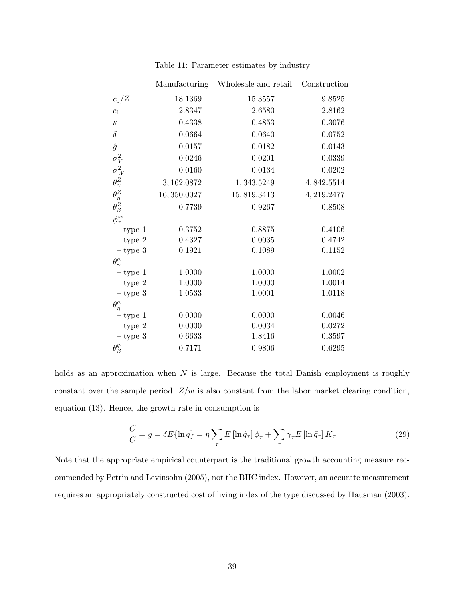|                                                                                | Manufacturing | Wholesale and retail | Construction |
|--------------------------------------------------------------------------------|---------------|----------------------|--------------|
| $c_0/Z$                                                                        | 18.1369       | 15.3557              | 9.8525       |
| $\mathfrak{c}_1$                                                               | 2.8347        | 2.6580               | 2.8162       |
| $\kappa$                                                                       | 0.4338        | 0.4853               | 0.3076       |
| $\delta$                                                                       | 0.0664        | 0.0640               | 0.0752       |
| $\hat{g}$                                                                      | 0.0157        | $\,0.0182\,$         | 0.0143       |
|                                                                                | 0.0246        | 0.0201               | 0.0339       |
|                                                                                | 0.0160        | 0.0134               | 0.0202       |
|                                                                                | 3, 162.0872   | 1,343.5249           | 4,842.5514   |
|                                                                                | 16,350.0027   | 15,819.3413          | 4, 219.2477  |
| $\sigma_Y^2 \ \sigma_W^2 \ \theta_Z^Z \ \theta_Z^Z \ \theta_Z^S \ \phi_T^{ss}$ | 0.7739        | 0.9267               | 0.8508       |
|                                                                                |               |                      |              |
| $-$ type 1                                                                     | 0.3752        | 0.8875               | 0.4106       |
| $-$ type 2                                                                     | 0.4327        | 0.0035               | 0.4742       |
| $-$ type $3$                                                                   | 0.1921        | 0.1089               | 0.1152       |
| $\theta^{q_\tau}_\gamma$                                                       |               |                      |              |
| $-$ type 1                                                                     | 1.0000        | 1.0000               | 1.0002       |
| $-$ type $2$                                                                   | 1.0000        | 1.0000               | 1.0014       |
| $-$ type $3$                                                                   | 1.0533        | 1.0001               | 1.0118       |
| $\theta^{q_\tau}_\eta$                                                         |               |                      |              |
| $-$ type 1                                                                     | 0.0000        | 0.0000               | 0.0046       |
| $-$ type 2                                                                     | 0.0000        | 0.0034               | 0.0272       |
| $-$ type $3$                                                                   | 0.6633        | 1.8416               | 0.3597       |
| $\theta_{\beta}^{q_{\tau}}$                                                    | 0.7171        | 0.9806               | 0.6295       |

Table 11: Parameter estimates by industry

holds as an approximation when  $N$  is large. Because the total Danish employment is roughly constant over the sample period,  $Z/w$  is also constant from the labor market clearing condition, equation (13). Hence, the growth rate in consumption is

$$
\frac{\dot{C}}{C} = g = \delta E \{ \ln q \} = \eta \sum_{\tau} E \left[ \ln \tilde{q}_{\tau} \right] \phi_{\tau} + \sum_{\tau} \gamma_{\tau} E \left[ \ln \tilde{q}_{\tau} \right] K_{\tau}
$$
\n(29)

Note that the appropriate empirical counterpart is the traditional growth accounting measure recommended by Petrin and Levinsohn (2005), not the BHC index. However, an accurate measurement requires an appropriately constructed cost of living index of the type discussed by Hausman (2003).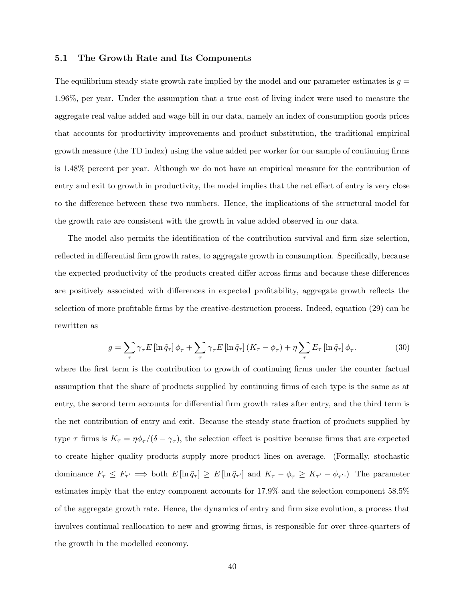#### 5.1 The Growth Rate and Its Components

The equilibrium steady state growth rate implied by the model and our parameter estimates is  $g =$ 1.96%, per year. Under the assumption that a true cost of living index were used to measure the aggregate real value added and wage bill in our data, namely an index of consumption goods prices that accounts for productivity improvements and product substitution, the traditional empirical growth measure (the TD index) using the value added per worker for our sample of continuing firms is 1.48% percent per year. Although we do not have an empirical measure for the contribution of entry and exit to growth in productivity, the model implies that the net effect of entry is very close to the difference between these two numbers. Hence, the implications of the structural model for the growth rate are consistent with the growth in value added observed in our data.

The model also permits the identification of the contribution survival and firm size selection, reflected in differential firm growth rates, to aggregate growth in consumption. Specifically, because the expected productivity of the products created differ across firms and because these differences are positively associated with differences in expected profitability, aggregate growth reflects the selection of more profitable firms by the creative-destruction process. Indeed, equation (29) can be rewritten as

$$
g = \sum_{\tau} \gamma_{\tau} E \left[ \ln \tilde{q}_{\tau} \right] \phi_{\tau} + \sum_{\tau} \gamma_{\tau} E \left[ \ln \tilde{q}_{\tau} \right] \left( K_{\tau} - \phi_{\tau} \right) + \eta \sum_{\tau} E_{\tau} \left[ \ln \tilde{q}_{\tau} \right] \phi_{\tau}.
$$
 (30)

where the first term is the contribution to growth of continuing firms under the counter factual assumption that the share of products supplied by continuing firms of each type is the same as at entry, the second term accounts for differential firm growth rates after entry, and the third term is the net contribution of entry and exit. Because the steady state fraction of products supplied by type  $\tau$  firms is  $K_{\tau} = \eta \phi_{\tau}/(\delta - \gamma_{\tau})$ , the selection effect is positive because firms that are expected to create higher quality products supply more product lines on average. (Formally, stochastic dominance  $F_{\tau} \leq F_{\tau'} \implies$  both  $E[\ln \tilde{q}_{\tau}] \geq E[\ln \tilde{q}_{\tau'}]$  and  $K_{\tau} - \phi_{\tau} \geq K_{\tau'} - \phi_{\tau'}$ . The parameter estimates imply that the entry component accounts for 17.9% and the selection component 58.5% of the aggregate growth rate. Hence, the dynamics of entry and firm size evolution, a process that involves continual reallocation to new and growing firms, is responsible for over three-quarters of the growth in the modelled economy.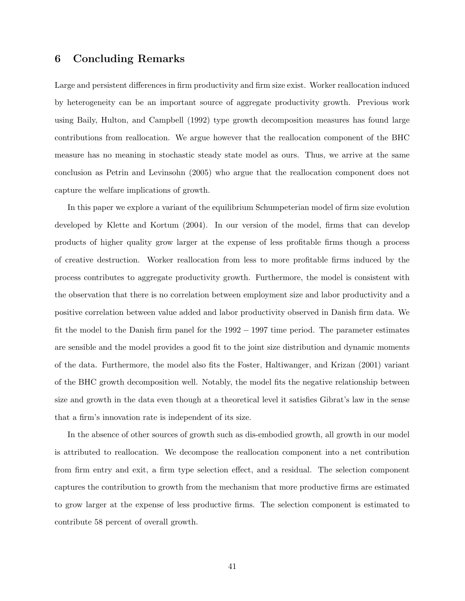### 6 Concluding Remarks

Large and persistent differences in firm productivity and firm size exist. Worker reallocation induced by heterogeneity can be an important source of aggregate productivity growth. Previous work using Baily, Hulton, and Campbell (1992) type growth decomposition measures has found large contributions from reallocation. We argue however that the reallocation component of the BHC measure has no meaning in stochastic steady state model as ours. Thus, we arrive at the same conclusion as Petrin and Levinsohn (2005) who argue that the reallocation component does not capture the welfare implications of growth.

In this paper we explore a variant of the equilibrium Schumpeterian model of firm size evolution developed by Klette and Kortum (2004). In our version of the model, firms that can develop products of higher quality grow larger at the expense of less profitable firms though a process of creative destruction. Worker reallocation from less to more profitable firms induced by the process contributes to aggregate productivity growth. Furthermore, the model is consistent with the observation that there is no correlation between employment size and labor productivity and a positive correlation between value added and labor productivity observed in Danish firm data. We fit the model to the Danish firm panel for the 1992 − 1997 time period. The parameter estimates are sensible and the model provides a good fit to the joint size distribution and dynamic moments of the data. Furthermore, the model also fits the Foster, Haltiwanger, and Krizan (2001) variant of the BHC growth decomposition well. Notably, the model fits the negative relationship between size and growth in the data even though at a theoretical level it satisfies Gibrat's law in the sense that a firm's innovation rate is independent of its size.

In the absence of other sources of growth such as dis-embodied growth, all growth in our model is attributed to reallocation. We decompose the reallocation component into a net contribution from firm entry and exit, a firm type selection effect, and a residual. The selection component captures the contribution to growth from the mechanism that more productive firms are estimated to grow larger at the expense of less productive firms. The selection component is estimated to contribute 58 percent of overall growth.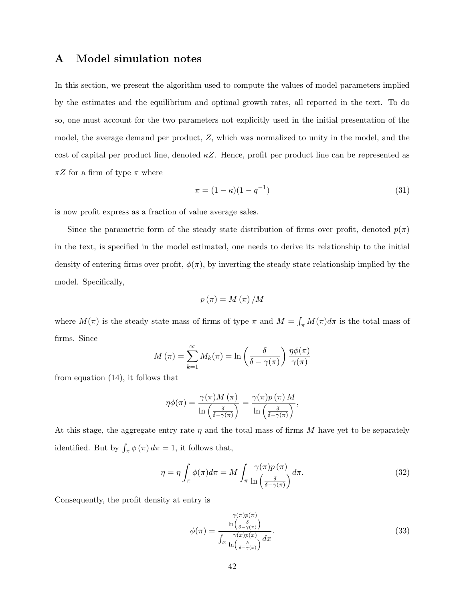## A Model simulation notes

In this section, we present the algorithm used to compute the values of model parameters implied by the estimates and the equilibrium and optimal growth rates, all reported in the text. To do so, one must account for the two parameters not explicitly used in the initial presentation of the model, the average demand per product, Z, which was normalized to unity in the model, and the cost of capital per product line, denoted  $\kappa Z$ . Hence, profit per product line can be represented as  $\pi Z$  for a firm of type  $\pi$  where

$$
\pi = (1 - \kappa)(1 - q^{-1})\tag{31}
$$

is now profit express as a fraction of value average sales.

Since the parametric form of the steady state distribution of firms over profit, denoted  $p(\pi)$ in the text, is specified in the model estimated, one needs to derive its relationship to the initial density of entering firms over profit,  $\phi(\pi)$ , by inverting the steady state relationship implied by the model. Specifically,

$$
p(\pi) = M(\pi)/M
$$

where  $M(\pi)$  is the steady state mass of firms of type  $\pi$  and  $M = \int_{\pi} M(\pi) d\pi$  is the total mass of firms. Since

$$
M(\pi) = \sum_{k=1}^{\infty} M_k(\pi) = \ln\left(\frac{\delta}{\delta - \gamma(\pi)}\right) \frac{\eta \phi(\pi)}{\gamma(\pi)}
$$

from equation (14), it follows that

$$
\eta \phi(\pi) = \frac{\gamma(\pi) M(\pi)}{\ln \left( \frac{\delta}{\delta - \gamma(\pi)} \right)} = \frac{\gamma(\pi) p(\pi) M}{\ln \left( \frac{\delta}{\delta - \gamma(\pi)} \right)},
$$

At this stage, the aggregate entry rate  $\eta$  and the total mass of firms M have yet to be separately identified. But by  $\int_{\pi} \phi(\pi) d\pi = 1$ , it follows that,

$$
\eta = \eta \int_{\pi} \phi(\pi) d\pi = M \int_{\pi} \frac{\gamma(\pi) p(\pi)}{\ln\left(\frac{\delta}{\delta - \gamma(\pi)}\right)} d\pi.
$$
 (32)

Consequently, the profit density at entry is

$$
\phi(\pi) = \frac{\frac{\gamma(\pi)p(\pi)}{\ln\left(\frac{\delta}{\delta - \gamma(\pi)}\right)}}{\int_x \frac{\gamma(x)p(x)}{\ln\left(\frac{\delta}{\delta - \gamma(x)}\right)} dx}.
$$
\n(33)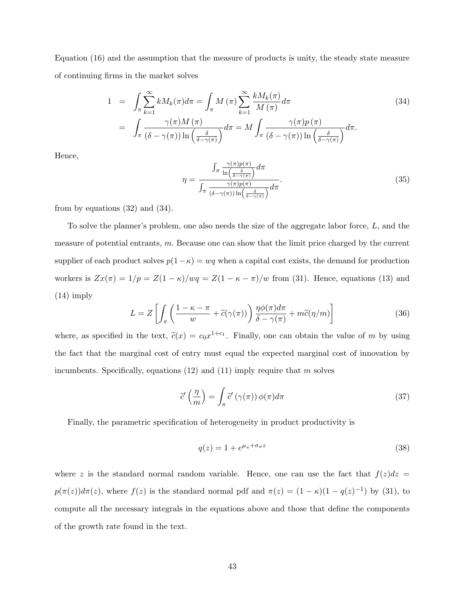Equation (16) and the assumption that the measure of products is unity, the steady state measure of continuing firms in the market solves

$$
1 = \int_{\pi} \sum_{k=1}^{\infty} k M_k(\pi) d\pi = \int_{\pi} M(\pi) \sum_{k=1}^{\infty} \frac{k M_k(\pi)}{M(\pi)} d\pi
$$
  

$$
= \int_{\pi} \frac{\gamma(\pi) M(\pi)}{(\delta - \gamma(\pi)) \ln\left(\frac{\delta}{\delta - \gamma(\pi)}\right)} d\pi = M \int_{\pi} \frac{\gamma(\pi) p(\pi)}{(\delta - \gamma(\pi)) \ln\left(\frac{\delta}{\delta - \gamma(\pi)}\right)} d\pi.
$$
 (34)

Hence,

$$
\eta = \frac{\int_{\pi} \frac{\gamma(\pi)p(\pi)}{\ln\left(\frac{\delta}{\delta - \gamma(\pi)}\right)} d\pi}{\int_{\pi} \frac{\gamma(\pi)p(\pi)}{(\delta - \gamma(\pi))\ln\left(\frac{\delta}{\delta - \gamma(\pi)}\right)} d\pi}.
$$
(35)

from by equations (32) and (34).

To solve the planner's problem, one also needs the size of the aggregate labor force, L, and the measure of potential entrants,  $m$ . Because one can show that the limit price charged by the current supplier of each product solves  $p(1-\kappa) = wq$  when a capital cost exists, the demand for production workers is  $Zx(\pi) = 1/p = Z(1 - \kappa)/wq = Z(1 - \kappa - \pi)/w$  from (31). Hence, equations (13) and (14) imply

$$
L = Z \left[ \int_{\pi} \left( \frac{1 - \kappa - \pi}{w} + \tilde{c}(\gamma(\pi)) \right) \frac{\eta \phi(\pi) d\pi}{\delta - \gamma(\pi)} + m \tilde{c}(\eta/m) \right]
$$
(36)

where, as specified in the text,  $\tilde{c}(x) = c_0 x^{1+c_1}$ . Finally, one can obtain the value of m by using the fact that the marginal cost of entry must equal the expected marginal cost of innovation by incumbents. Specifically, equations  $(12)$  and  $(11)$  imply require that m solves

$$
\tilde{c}'\left(\frac{\eta}{m}\right) = \int_{\pi} \tilde{c}'\left(\gamma(\pi)\right) \phi(\pi) d\pi \tag{37}
$$

Finally, the parametric specification of heterogeneity in product productivity is

$$
q(z) = 1 + e^{\mu_{\pi} + \sigma_{\pi} z} \tag{38}
$$

where z is the standard normal random variable. Hence, one can use the fact that  $f(z)dz =$  $p(\pi(z))d\pi(z)$ , where  $f(z)$  is the standard normal pdf and  $\pi(z) = (1 - \kappa)(1 - q(z)^{-1})$  by (31), to compute all the necessary integrals in the equations above and those that define the components of the growth rate found in the text.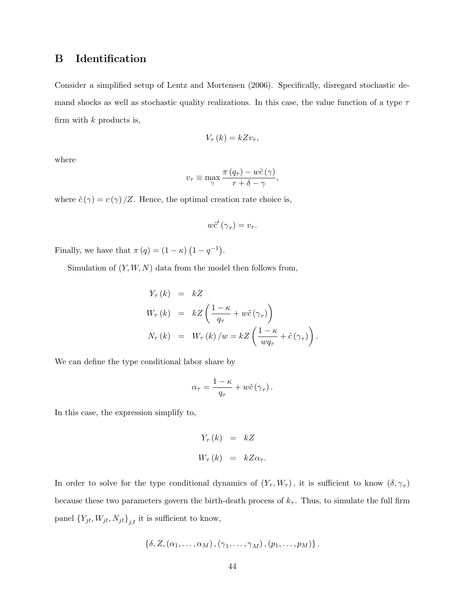## B Identification

Consider a simplified setup of Lentz and Mortensen (2006). Specifically, disregard stochastic demand shocks as well as stochastic quality realizations. In this case, the value function of a type  $\tau$ firm with  $k$  products is,

$$
V_{\tau}(k)=kZv_{\tau},
$$

where

$$
v_{\tau} \equiv \max_{\gamma} \frac{\pi (q_{\tau}) - w\tilde{c}(\gamma)}{r + \delta - \gamma},
$$

where  $\tilde{c}(\gamma) = c(\gamma)/Z$ . Hence, the optimal creation rate choice is,

$$
w\tilde{c}'\left(\gamma_{\tau}\right)=v_{\tau}.
$$

Finally, we have that  $\pi(q) = (1 - \kappa) (1 - q^{-1}).$ 

Simulation of  $(Y, W, N)$  data from the model then follows from,

$$
Y_{\tau}(k) = kZ
$$
  
\n
$$
W_{\tau}(k) = kZ \left( \frac{1 - \kappa}{q_{\tau}} + w\tilde{c}(\gamma_{\tau}) \right)
$$
  
\n
$$
N_{\tau}(k) = W_{\tau}(k) / w = kZ \left( \frac{1 - \kappa}{w q_{\tau}} + \tilde{c}(\gamma_{\tau}) \right).
$$

We can define the type conditional labor share by

$$
\alpha_{\tau} = \frac{1-\kappa}{q_{\tau}} + w\tilde{c}(\gamma_{\tau}).
$$

In this case, the expression simplify to,

$$
Y_{\tau}(k) = kZ
$$
  

$$
W_{\tau}(k) = kZ\alpha_{\tau}.
$$

In order to solve for the type conditional dynamics of  $(Y_\tau, W_\tau)$ , it is sufficient to know  $(\delta, \gamma_\tau)$ because these two parameters govern the birth-death process of  $k_{\tau}$ . Thus, to simulate the full firm panel  ${Y_{jt}, W_{jt}, N_{jt}}_{j,t}$  it is sufficient to know,

$$
\{\delta,Z,(\alpha_1,\ldots,\alpha_M),(\gamma_1,\ldots,\gamma_M),(p_1,\ldots,p_M)\}\,.
$$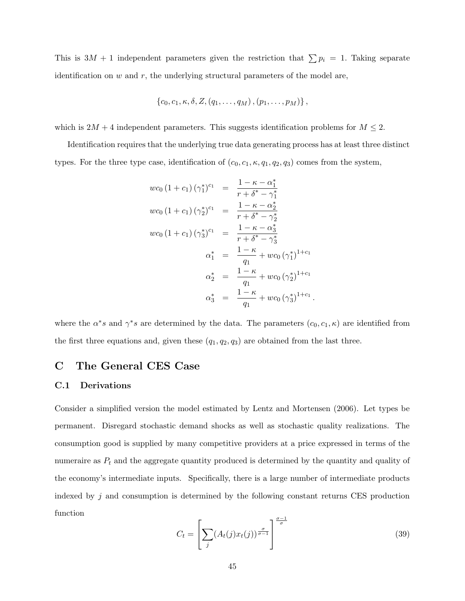This is  $3M + 1$  independent parameters given the restriction that  $\sum p_i = 1$ . Taking separate identification on  $w$  and  $r$ , the underlying structural parameters of the model are,

$$
\{c_0, c_1, \kappa, \delta, Z, (q_1, \ldots, q_M), (p_1, \ldots, p_M)\},\,
$$

which is  $2M + 4$  independent parameters. This suggests identification problems for  $M \leq 2$ .

Identification requires that the underlying true data generating process has at least three distinct types. For the three type case, identification of  $(c_0, c_1, \kappa, q_1, q_2, q_3)$  comes from the system,

$$
wc_0 (1 + c_1) (\gamma_1^*)^{c_1} = \frac{1 - \kappa - \alpha_1^*}{r + \delta^* - \gamma_1^*}
$$
  
\n
$$
wc_0 (1 + c_1) (\gamma_2^*)^{c_1} = \frac{1 - \kappa - \alpha_2^*}{r + \delta^* - \gamma_2^*}
$$
  
\n
$$
wc_0 (1 + c_1) (\gamma_3^*)^{c_1} = \frac{1 - \kappa - \alpha_3^*}{r + \delta^* - \gamma_3^*}
$$
  
\n
$$
\alpha_1^* = \frac{1 - \kappa}{q_1} + wc_0 (\gamma_1^*)^{1 + c_1}
$$
  
\n
$$
\alpha_2^* = \frac{1 - \kappa}{q_1} + wc_0 (\gamma_2^*)^{1 + c_1}
$$
  
\n
$$
\alpha_3^* = \frac{1 - \kappa}{q_1} + wc_0 (\gamma_3^*)^{1 + c_1}
$$

where the  $\alpha^*s$  and  $\gamma^*s$  are determined by the data. The parameters  $(c_0, c_1, \kappa)$  are identified from the first three equations and, given these  $(q_1, q_2, q_3)$  are obtained from the last three.

### C The General CES Case

#### C.1 Derivations

Consider a simplified version the model estimated by Lentz and Mortensen (2006). Let types be permanent. Disregard stochastic demand shocks as well as stochastic quality realizations. The consumption good is supplied by many competitive providers at a price expressed in terms of the numeraire as  $P_t$  and the aggregate quantity produced is determined by the quantity and quality of the economy's intermediate inputs. Specifically, there is a large number of intermediate products indexed by  $j$  and consumption is determined by the following constant returns CES production function

$$
C_t = \left[\sum_j (A_t(j)x_t(j))^{\frac{\sigma}{\sigma-1}}\right]^{\frac{\sigma-1}{\sigma}}
$$
\n(39)

.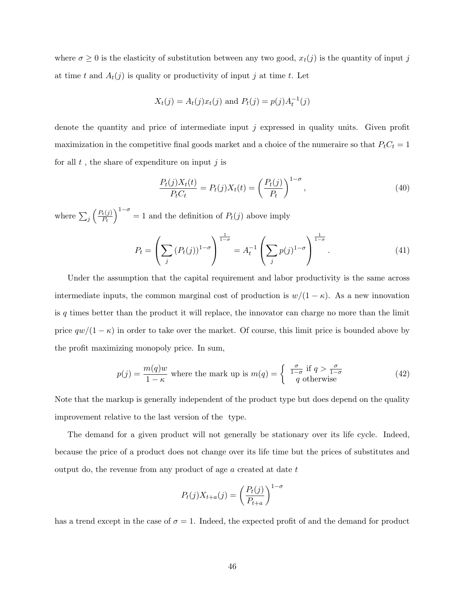where  $\sigma \geq 0$  is the elasticity of substitution between any two good,  $x_t(j)$  is the quantity of input j at time t and  $A_t(j)$  is quality or productivity of input j at time t. Let

$$
X_t(j) = A_t(j)x_t(j)
$$
 and  $P_t(j) = p(j)A_t^{-1}(j)$ 

denote the quantity and price of intermediate input  $j$  expressed in quality units. Given profit maximization in the competitive final goods market and a choice of the numeraire so that  $P_tC_t = 1$ for all  $t$ , the share of expenditure on input  $j$  is

$$
\frac{P_t(j)X_t(t)}{P_tC_t} = P_t(j)X_t(t) = \left(\frac{P_t(j)}{P_t}\right)^{1-\sigma},
$$
\n(40)

where  $\sum_j$  $\bigl(P_t(j)\bigr)$  $\overline{P_t}$  $\big)$ <sup>1- $\sigma$ </sup> = 1 and the definition of  $P_t(j)$  above imply

$$
P_t = \left(\sum_j (P_t(j))^{1-\sigma}\right)^{\frac{1}{1-\sigma}} = A_t^{-1} \left(\sum_j p(j)^{1-\sigma}\right)^{\frac{1}{1-\sigma}}.
$$
 (41)

Under the assumption that the capital requirement and labor productivity is the same across intermediate inputs, the common marginal cost of production is  $w/(1 - \kappa)$ . As a new innovation is  $q$  times better than the product it will replace, the innovator can charge no more than the limit price  $qw/(1 - \kappa)$  in order to take over the market. Of course, this limit price is bounded above by the profit maximizing monopoly price. In sum,

$$
p(j) = \frac{m(q)w}{1 - \kappa} \text{ where the mark up is } m(q) = \begin{cases} \frac{\sigma}{1 - \sigma} & \text{if } q > \frac{\sigma}{1 - \sigma} \\ q & \text{otherwise} \end{cases}
$$
 (42)

Note that the markup is generally independent of the product type but does depend on the quality improvement relative to the last version of the type.

The demand for a given product will not generally be stationary over its life cycle. Indeed, because the price of a product does not change over its life time but the prices of substitutes and output do, the revenue from any product of age a created at date t

$$
P_t(j)X_{t+a}(j) = \left(\frac{P_t(j)}{P_{t+a}}\right)^{1-\sigma}
$$

has a trend except in the case of  $\sigma = 1$ . Indeed, the expected profit of and the demand for product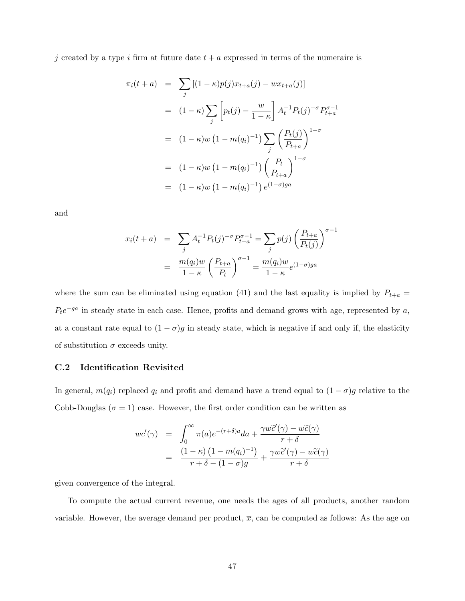j created by a type i firm at future date  $t + a$  expressed in terms of the numeraire is

$$
\pi_i(t+a) = \sum_j [(1-\kappa)p(j)x_{t+a}(j) - wx_{t+a}(j)]
$$
  
\n
$$
= (1-\kappa)\sum_j \left[ p_t(j) - \frac{w}{1-\kappa} \right] A_t^{-1} P_t(j)^{-\sigma} P_{t+a}^{\sigma-1}
$$
  
\n
$$
= (1-\kappa)w (1-m(q_i)^{-1}) \sum_j \left( \frac{P_t(j)}{P_{t+a}} \right)^{1-\sigma}
$$
  
\n
$$
= (1-\kappa)w (1-m(q_i)^{-1}) \left( \frac{P_t}{P_{t+a}} \right)^{1-\sigma}
$$
  
\n
$$
= (1-\kappa)w (1-m(q_i)^{-1}) e^{(1-\sigma)ga}
$$

and

$$
x_i(t+a) = \sum_j A_t^{-1} P_t(j)^{-\sigma} P_{t+a}^{\sigma-1} = \sum_j p(j) \left( \frac{P_{t+a}}{P_t(j)} \right)^{\sigma-1}
$$
  
= 
$$
\frac{m(q_i)w}{1-\kappa} \left( \frac{P_{t+a}}{P_t} \right)^{\sigma-1} = \frac{m(q_i)w}{1-\kappa} e^{(1-\sigma)ga}
$$

where the sum can be eliminated using equation (41) and the last equality is implied by  $P_{t+a} =$  $P_t e^{-ga}$  in steady state in each case. Hence, profits and demand grows with age, represented by a, at a constant rate equal to  $(1 - \sigma)g$  in steady state, which is negative if and only if, the elasticity of substitution  $\sigma$  exceeds unity.

### C.2 Identification Revisited

In general,  $m(q_i)$  replaced  $q_i$  and profit and demand have a trend equal to  $(1 - \sigma)g$  relative to the Cobb-Douglas ( $\sigma = 1$ ) case. However, the first order condition can be written as

$$
wc'(\gamma) = \int_0^\infty \pi(a)e^{-(r+\delta)a}da + \frac{\gamma w\tilde{c}'(\gamma) - w\tilde{c}(\gamma)}{r+\delta}
$$
  
= 
$$
\frac{(1-\kappa)(1-m(q_i)^{-1})}{r+\delta - (1-\sigma)g} + \frac{\gamma w\tilde{c}'(\gamma) - w\tilde{c}(\gamma)}{r+\delta}
$$

given convergence of the integral.

To compute the actual current revenue, one needs the ages of all products, another random variable. However, the average demand per product,  $\bar{x}$ , can be computed as follows: As the age on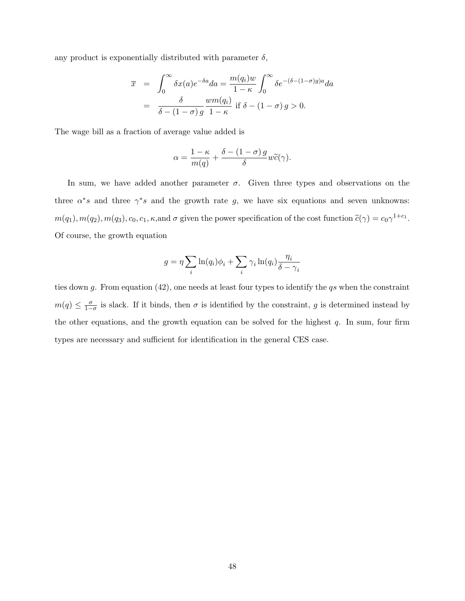any product is exponentially distributed with parameter  $\delta$ ,

$$
\overline{x} = \int_0^\infty \delta x(a)e^{-\delta a}da = \frac{m(q_i)w}{1-\kappa} \int_0^\infty \delta e^{-(\delta - (1-\sigma)g)a}da
$$

$$
= \frac{\delta}{\delta - (1-\sigma)g} \frac{wm(q_i)}{1-\kappa} \text{ if } \delta - (1-\sigma)g > 0.
$$

The wage bill as a fraction of average value added is

$$
\alpha = \frac{1 - \kappa}{m(q)} + \frac{\delta - (1 - \sigma) g}{\delta} w \widetilde{c}(\gamma).
$$

In sum, we have added another parameter  $\sigma$ . Given three types and observations on the three  $\alpha^*s$  and three  $\gamma^*s$  and the growth rate g, we have six equations and seven unknowns:  $m(q_1), m(q_2), m(q_3), c_0, c_1, \kappa$ , and  $\sigma$  given the power specification of the cost function  $\tilde{c}(\gamma) = c_0 \gamma^{1+c_1}$ . Of course, the growth equation

$$
g = \eta \sum_{i} \ln(q_i)\phi_i + \sum_{i} \gamma_i \ln(q_i) \frac{\eta_i}{\delta - \gamma_i}
$$

ties down g. From equation  $(42)$ , one needs at least four types to identify the qs when the constraint  $m(q) \leq \frac{\sigma}{1-q}$  $\frac{\sigma}{1-\sigma}$  is slack. If it binds, then  $\sigma$  is identified by the constraint, g is determined instead by the other equations, and the growth equation can be solved for the highest  $q$ . In sum, four firm types are necessary and sufficient for identification in the general CES case.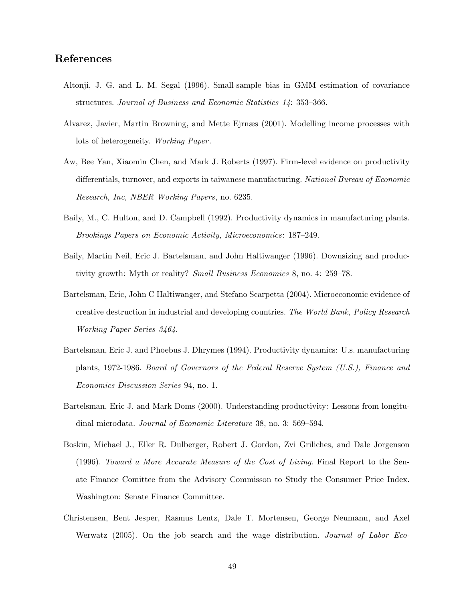## References

- Altonji, J. G. and L. M. Segal (1996). Small-sample bias in GMM estimation of covariance structures. Journal of Business and Economic Statistics 14: 353–366.
- Alvarez, Javier, Martin Browning, and Mette Ejrnæs (2001). Modelling income processes with lots of heterogeneity. Working Paper .
- Aw, Bee Yan, Xiaomin Chen, and Mark J. Roberts (1997). Firm-level evidence on productivity differentials, turnover, and exports in taiwanese manufacturing. National Bureau of Economic Research, Inc, NBER Working Papers, no. 6235.
- Baily, M., C. Hulton, and D. Campbell (1992). Productivity dynamics in manufacturing plants. Brookings Papers on Economic Activity, Microeconomics: 187–249.
- Baily, Martin Neil, Eric J. Bartelsman, and John Haltiwanger (1996). Downsizing and productivity growth: Myth or reality? Small Business Economics 8, no. 4: 259–78.
- Bartelsman, Eric, John C Haltiwanger, and Stefano Scarpetta (2004). Microeconomic evidence of creative destruction in industrial and developing countries. The World Bank, Policy Research Working Paper Series 3464.
- Bartelsman, Eric J. and Phoebus J. Dhrymes (1994). Productivity dynamics: U.s. manufacturing plants, 1972-1986. Board of Governors of the Federal Reserve System (U.S.), Finance and Economics Discussion Series 94, no. 1.
- Bartelsman, Eric J. and Mark Doms (2000). Understanding productivity: Lessons from longitudinal microdata. Journal of Economic Literature 38, no. 3: 569–594.
- Boskin, Michael J., Eller R. Dulberger, Robert J. Gordon, Zvi Griliches, and Dale Jorgenson (1996). Toward a More Accurate Measure of the Cost of Living. Final Report to the Senate Finance Comittee from the Advisory Commisson to Study the Consumer Price Index. Washington: Senate Finance Committee.
- Christensen, Bent Jesper, Rasmus Lentz, Dale T. Mortensen, George Neumann, and Axel Werwatz (2005). On the job search and the wage distribution. Journal of Labor Eco-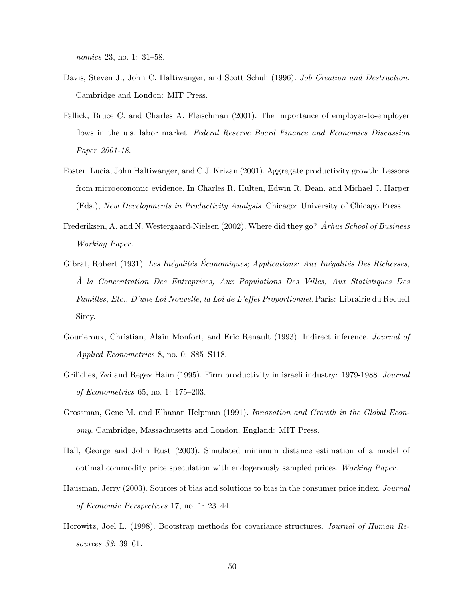nomics 23, no. 1: 31–58.

- Davis, Steven J., John C. Haltiwanger, and Scott Schuh (1996). Job Creation and Destruction. Cambridge and London: MIT Press.
- Fallick, Bruce C. and Charles A. Fleischman (2001). The importance of employer-to-employer flows in the u.s. labor market. Federal Reserve Board Finance and Economics Discussion Paper 2001-18.
- Foster, Lucia, John Haltiwanger, and C.J. Krizan (2001). Aggregate productivity growth: Lessons from microeconomic evidence. In Charles R. Hulten, Edwin R. Dean, and Michael J. Harper (Eds.), New Developments in Productivity Analysis. Chicago: University of Chicago Press.
- Frederiksen, A. and N. Westergaard-Nielsen (2002). Where did they go? Arhus School of Business Working Paper .
- Gibrat, Robert (1931). Les Inégalités Économiques; Applications: Aux Inégalités Des Richesses, A` la Concentration Des Entreprises, Aux Populations Des Villes, Aux Statistiques Des Familles, Etc., D'une Loi Nouvelle, la Loi de L'effet Proportionnel. Paris: Librairie du Recueil Sirey.
- Gourieroux, Christian, Alain Monfort, and Eric Renault (1993). Indirect inference. *Journal of* Applied Econometrics 8, no. 0: S85–S118.
- Griliches, Zvi and Regev Haim (1995). Firm productivity in israeli industry: 1979-1988. Journal of Econometrics 65, no. 1: 175–203.
- Grossman, Gene M. and Elhanan Helpman (1991). Innovation and Growth in the Global Economy. Cambridge, Massachusetts and London, England: MIT Press.
- Hall, George and John Rust (2003). Simulated minimum distance estimation of a model of optimal commodity price speculation with endogenously sampled prices. Working Paper .
- Hausman, Jerry (2003). Sources of bias and solutions to bias in the consumer price index. Journal of Economic Perspectives 17, no. 1: 23–44.
- Horowitz, Joel L. (1998). Bootstrap methods for covariance structures. Journal of Human Resources 33: 39–61.